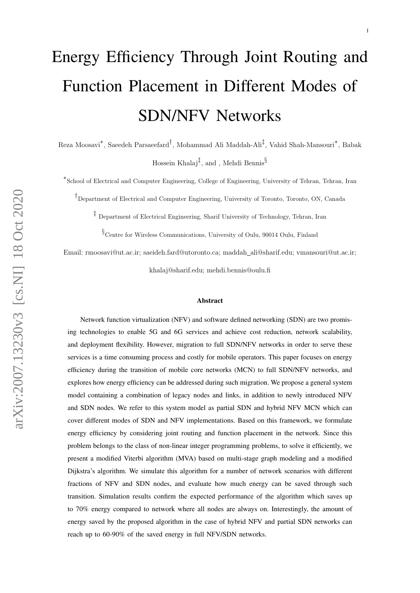# Energy Efficiency Through Joint Routing and Function Placement in Different Modes of SDN/NFV Networks

Reza Moosavi<sup>\*</sup>, Saeedeh Parsaeefard<sup>†</sup>, Mohammad Ali Maddah-Ali<sup>‡</sup>, Vahid Shah-Mansouri<sup>\*</sup>, Babak Hossein Khalaj $^{\ddagger}$ , and , Mehdi Bennis $^{\S}$ 

∗ School of Electrical and Computer Engineering, College of Engineering, University of Tehran, Tehran, Iran

† Department of Electrical and Computer Engineering, University of Toronto, Toronto, ON, Canada

‡ Department of Electrical Engineering, Sharif University of Technology, Tehran, Iran

 $\S$  Centre for Wireless Communications, University of Oulu, 90014 Oulu, Finland

Email: rmoosavi@ut.ac.ir; saeideh.fard@utoronto.ca; maddah ali@sharif.edu; vmansouri@ut.ac.ir;

khalaj@sharif.edu; mehdi.bennis@oulu.fi

#### Abstract

Network function virtualization (NFV) and software defined networking (SDN) are two promising technologies to enable 5G and 6G services and achieve cost reduction, network scalability, and deployment flexibility. However, migration to full SDN/NFV networks in order to serve these services is a time consuming process and costly for mobile operators. This paper focuses on energy efficiency during the transition of mobile core networks (MCN) to full SDN/NFV networks, and explores how energy efficiency can be addressed during such migration. We propose a general system model containing a combination of legacy nodes and links, in addition to newly introduced NFV and SDN nodes. We refer to this system model as partial SDN and hybrid NFV MCN which can cover different modes of SDN and NFV implementations. Based on this framework, we formulate energy efficiency by considering joint routing and function placement in the network. Since this problem belongs to the class of non-linear integer programming problems, to solve it efficiently, we present a modified Viterbi algorithm (MVA) based on multi-stage graph modeling and a modified Dijkstra's algorithm. We simulate this algorithm for a number of network scenarios with different fractions of NFV and SDN nodes, and evaluate how much energy can be saved through such transition. Simulation results confirm the expected performance of the algorithm which saves up to 70% energy compared to network where all nodes are always on. Interestingly, the amount of energy saved by the proposed algorithm in the case of hybrid NFV and partial SDN networks can reach up to 60-90% of the saved energy in full NFV/SDN networks.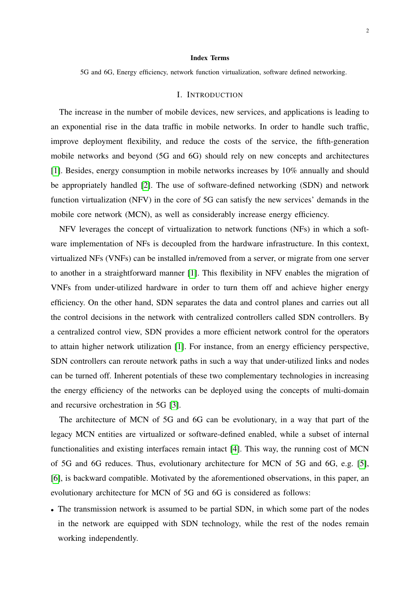#### Index Terms

5G and 6G, Energy efficiency, network function virtualization, software defined networking.

#### I. INTRODUCTION

The increase in the number of mobile devices, new services, and applications is leading to an exponential rise in the data traffic in mobile networks. In order to handle such traffic, improve deployment flexibility, and reduce the costs of the service, the fifth-generation mobile networks and beyond (5G and 6G) should rely on new concepts and architectures [\[1\]](#page-28-0). Besides, energy consumption in mobile networks increases by 10% annually and should be appropriately handled [\[2\]](#page-28-1). The use of software-defined networking (SDN) and network function virtualization (NFV) in the core of 5G can satisfy the new services' demands in the mobile core network (MCN), as well as considerably increase energy efficiency.

NFV leverages the concept of virtualization to network functions (NFs) in which a software implementation of NFs is decoupled from the hardware infrastructure. In this context, virtualized NFs (VNFs) can be installed in/removed from a server, or migrate from one server to another in a straightforward manner [\[1\]](#page-28-0). This flexibility in NFV enables the migration of VNFs from under-utilized hardware in order to turn them off and achieve higher energy efficiency. On the other hand, SDN separates the data and control planes and carries out all the control decisions in the network with centralized controllers called SDN controllers. By a centralized control view, SDN provides a more efficient network control for the operators to attain higher network utilization [\[1\]](#page-28-0). For instance, from an energy efficiency perspective, SDN controllers can reroute network paths in such a way that under-utilized links and nodes can be turned off. Inherent potentials of these two complementary technologies in increasing the energy efficiency of the networks can be deployed using the concepts of multi-domain and recursive orchestration in 5G [\[3\]](#page-28-2).

The architecture of MCN of 5G and 6G can be evolutionary, in a way that part of the legacy MCN entities are virtualized or software-defined enabled, while a subset of internal functionalities and existing interfaces remain intact [\[4\]](#page-29-0). This way, the running cost of MCN of 5G and 6G reduces. Thus, evolutionary architecture for MCN of 5G and 6G, e.g. [\[5\]](#page-29-1), [\[6\]](#page-29-2), is backward compatible. Motivated by the aforementioned observations, in this paper, an evolutionary architecture for MCN of 5G and 6G is considered as follows:

• The transmission network is assumed to be partial SDN, in which some part of the nodes in the network are equipped with SDN technology, while the rest of the nodes remain working independently.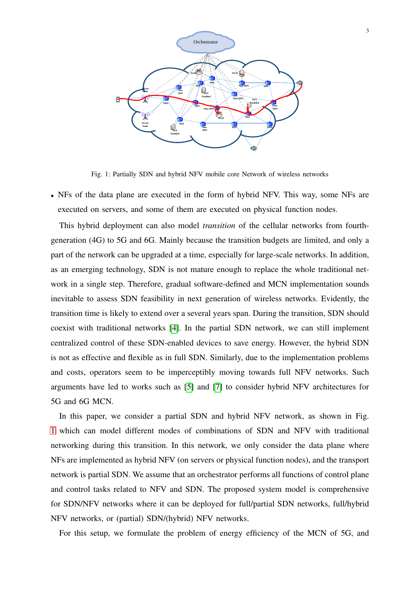<span id="page-2-0"></span>

Fig. 1: Partially SDN and hybrid NFV mobile core Network of wireless networks

• NFs of the data plane are executed in the form of hybrid NFV. This way, some NFs are executed on servers, and some of them are executed on physical function nodes.

This hybrid deployment can also model *transition* of the cellular networks from fourthgeneration (4G) to 5G and 6G. Mainly because the transition budgets are limited, and only a part of the network can be upgraded at a time, especially for large-scale networks. In addition, as an emerging technology, SDN is not mature enough to replace the whole traditional network in a single step. Therefore, gradual software-defined and MCN implementation sounds inevitable to assess SDN feasibility in next generation of wireless networks. Evidently, the transition time is likely to extend over a several years span. During the transition, SDN should coexist with traditional networks [\[4\]](#page-29-0). In the partial SDN network, we can still implement centralized control of these SDN-enabled devices to save energy. However, the hybrid SDN is not as effective and flexible as in full SDN. Similarly, due to the implementation problems and costs, operators seem to be imperceptibly moving towards full NFV networks. Such arguments have led to works such as [\[5\]](#page-29-1) and [\[7\]](#page-29-3) to consider hybrid NFV architectures for 5G and 6G MCN.

In this paper, we consider a partial SDN and hybrid NFV network, as shown in Fig. [1](#page-2-0) which can model different modes of combinations of SDN and NFV with traditional networking during this transition. In this network, we only consider the data plane where NFs are implemented as hybrid NFV (on servers or physical function nodes), and the transport network is partial SDN. We assume that an orchestrator performs all functions of control plane and control tasks related to NFV and SDN. The proposed system model is comprehensive for SDN/NFV networks where it can be deployed for full/partial SDN networks, full/hybrid NFV networks, or (partial) SDN/(hybrid) NFV networks.

For this setup, we formulate the problem of energy efficiency of the MCN of 5G, and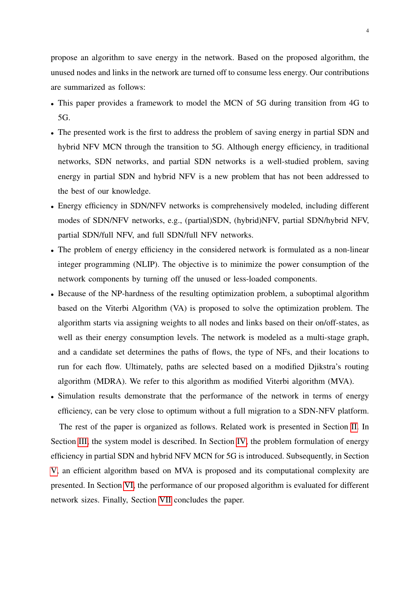propose an algorithm to save energy in the network. Based on the proposed algorithm, the unused nodes and links in the network are turned off to consume less energy. Our contributions are summarized as follows:

- This paper provides a framework to model the MCN of 5G during transition from 4G to 5G.
- The presented work is the first to address the problem of saving energy in partial SDN and hybrid NFV MCN through the transition to 5G. Although energy efficiency, in traditional networks, SDN networks, and partial SDN networks is a well-studied problem, saving energy in partial SDN and hybrid NFV is a new problem that has not been addressed to the best of our knowledge.
- Energy efficiency in SDN/NFV networks is comprehensively modeled, including different modes of SDN/NFV networks, e.g., (partial)SDN, (hybrid)NFV, partial SDN/hybrid NFV, partial SDN/full NFV, and full SDN/full NFV networks.
- The problem of energy efficiency in the considered network is formulated as a non-linear integer programming (NLIP). The objective is to minimize the power consumption of the network components by turning off the unused or less-loaded components.
- Because of the NP-hardness of the resulting optimization problem, a suboptimal algorithm based on the Viterbi Algorithm (VA) is proposed to solve the optimization problem. The algorithm starts via assigning weights to all nodes and links based on their on/off-states, as well as their energy consumption levels. The network is modeled as a multi-stage graph, and a candidate set determines the paths of flows, the type of NFs, and their locations to run for each flow. Ultimately, paths are selected based on a modified Djikstra's routing algorithm (MDRA). We refer to this algorithm as modified Viterbi algorithm (MVA).
- Simulation results demonstrate that the performance of the network in terms of energy efficiency, can be very close to optimum without a full migration to a SDN-NFV platform.

The rest of the paper is organized as follows. Related work is presented in Section [II.](#page-4-0) In Section [III,](#page-5-0) the system model is described. In Section [IV,](#page-9-0) the problem formulation of energy efficiency in partial SDN and hybrid NFV MCN for 5G is introduced. Subsequently, in Section [V,](#page-12-0) an efficient algorithm based on MVA is proposed and its computational complexity are presented. In Section [VI,](#page-22-0) the performance of our proposed algorithm is evaluated for different network sizes. Finally, Section [VII](#page-28-3) concludes the paper.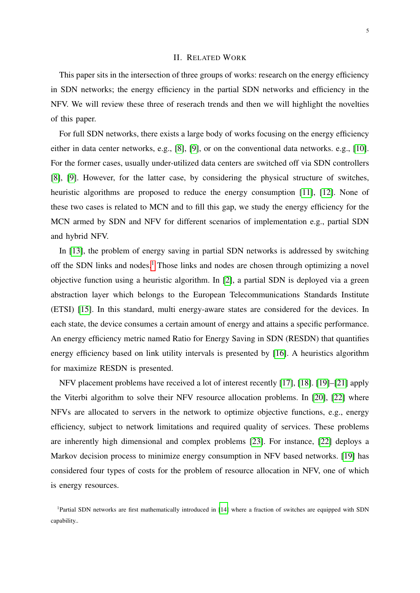# II. RELATED WORK

<span id="page-4-0"></span>This paper sits in the intersection of three groups of works: research on the energy efficiency in SDN networks; the energy efficiency in the partial SDN networks and efficiency in the NFV. We will review these three of reserach trends and then we will highlight the novelties of this paper.

For full SDN networks, there exists a large body of works focusing on the energy efficiency either in data center networks, e.g., [\[8\]](#page-29-4), [\[9\]](#page-29-5), or on the conventional data networks. e.g., [\[10\]](#page-29-6). For the former cases, usually under-utilized data centers are switched off via SDN controllers [\[8\]](#page-29-4), [\[9\]](#page-29-5). However, for the latter case, by considering the physical structure of switches, heuristic algorithms are proposed to reduce the energy consumption [\[11\]](#page-29-7), [\[12\]](#page-29-8). None of these two cases is related to MCN and to fill this gap, we study the energy efficiency for the MCN armed by SDN and NFV for different scenarios of implementation e.g., partial SDN and hybrid NFV.

In [\[13\]](#page-29-9), the problem of energy saving in partial SDN networks is addressed by switching off the SDN links and nodes.<sup>[1](#page-4-1)</sup> Those links and nodes are chosen through optimizing a novel objective function using a heuristic algorithm. In [\[2\]](#page-28-1), a partial SDN is deployed via a green abstraction layer which belongs to the European Telecommunications Standards Institute (ETSI) [\[15\]](#page-29-10). In this standard, multi energy-aware states are considered for the devices. In each state, the device consumes a certain amount of energy and attains a specific performance. An energy efficiency metric named Ratio for Energy Saving in SDN (RESDN) that quantifies energy efficiency based on link utility intervals is presented by [\[16\]](#page-29-11). A heuristics algorithm for maximize RESDN is presented.

NFV placement problems have received a lot of interest recently [\[17\]](#page-29-12), [\[18\]](#page-29-13). [\[19\]](#page-29-14)–[\[21\]](#page-30-0) apply the Viterbi algorithm to solve their NFV resource allocation problems. In [\[20\]](#page-29-15), [\[22\]](#page-30-1) where NFVs are allocated to servers in the network to optimize objective functions, e.g., energy efficiency, subject to network limitations and required quality of services. These problems are inherently high dimensional and complex problems [\[23\]](#page-30-2). For instance, [\[22\]](#page-30-1) deploys a Markov decision process to minimize energy consumption in NFV based networks. [\[19\]](#page-29-14) has considered four types of costs for the problem of resource allocation in NFV, one of which is energy resources.

<span id="page-4-1"></span><sup>&</sup>lt;sup>1</sup>Partial SDN networks are first mathematically introduced in [\[14\]](#page-29-16) where a fraction of switches are equipped with SDN capability..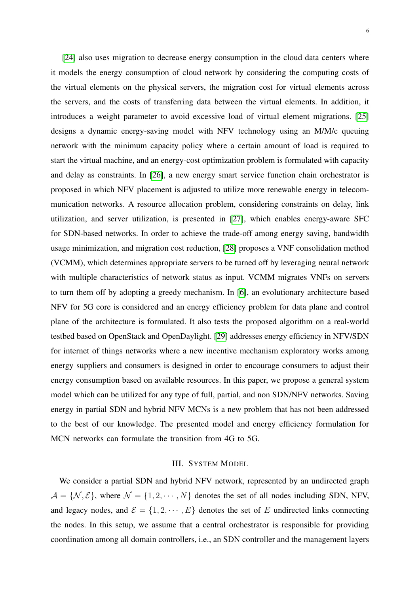[\[24\]](#page-30-3) also uses migration to decrease energy consumption in the cloud data centers where it models the energy consumption of cloud network by considering the computing costs of the virtual elements on the physical servers, the migration cost for virtual elements across the servers, and the costs of transferring data between the virtual elements. In addition, it introduces a weight parameter to avoid excessive load of virtual element migrations. [\[25\]](#page-30-4) designs a dynamic energy-saving model with NFV technology using an M/M/c queuing network with the minimum capacity policy where a certain amount of load is required to start the virtual machine, and an energy-cost optimization problem is formulated with capacity and delay as constraints. In [\[26\]](#page-30-5), a new energy smart service function chain orchestrator is proposed in which NFV placement is adjusted to utilize more renewable energy in telecommunication networks. A resource allocation problem, considering constraints on delay, link utilization, and server utilization, is presented in [\[27\]](#page-30-6), which enables energy-aware SFC for SDN-based networks. In order to achieve the trade-off among energy saving, bandwidth usage minimization, and migration cost reduction, [\[28\]](#page-30-7) proposes a VNF consolidation method (VCMM), which determines appropriate servers to be turned off by leveraging neural network with multiple characteristics of network status as input. VCMM migrates VNFs on servers to turn them off by adopting a greedy mechanism. In [\[6\]](#page-29-2), an evolutionary architecture based NFV for 5G core is considered and an energy efficiency problem for data plane and control plane of the architecture is formulated. It also tests the proposed algorithm on a real-world testbed based on OpenStack and OpenDaylight. [\[29\]](#page-30-8) addresses energy efficiency in NFV/SDN for internet of things networks where a new incentive mechanism exploratory works among energy suppliers and consumers is designed in order to encourage consumers to adjust their energy consumption based on available resources. In this paper, we propose a general system model which can be utilized for any type of full, partial, and non SDN/NFV networks. Saving energy in partial SDN and hybrid NFV MCNs is a new problem that has not been addressed to the best of our knowledge. The presented model and energy efficiency formulation for MCN networks can formulate the transition from 4G to 5G.

#### III. SYSTEM MODEL

<span id="page-5-0"></span>We consider a partial SDN and hybrid NFV network, represented by an undirected graph  $A = \{N, E\}$ , where  $N = \{1, 2, \dots, N\}$  denotes the set of all nodes including SDN, NFV, and legacy nodes, and  $\mathcal{E} = \{1, 2, \dots, E\}$  denotes the set of E undirected links connecting the nodes. In this setup, we assume that a central orchestrator is responsible for providing coordination among all domain controllers, i.e., an SDN controller and the management layers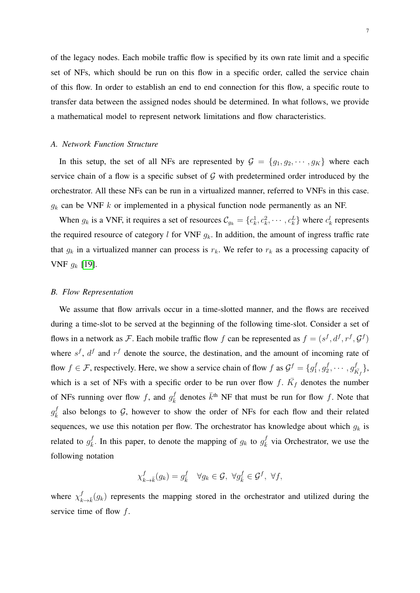of the legacy nodes. Each mobile traffic flow is specified by its own rate limit and a specific set of NFs, which should be run on this flow in a specific order, called the service chain of this flow. In order to establish an end to end connection for this flow, a specific route to transfer data between the assigned nodes should be determined. In what follows, we provide a mathematical model to represent network limitations and flow characteristics.

#### *A. Network Function Structure*

In this setup, the set of all NFs are represented by  $G = \{g_1, g_2, \dots, g_K\}$  where each service chain of a flow is a specific subset of  $G$  with predetermined order introduced by the orchestrator. All these NFs can be run in a virtualized manner, referred to VNFs in this case.  $g_k$  can be VNF k or implemented in a physical function node permanently as an NF.

When  $g_k$  is a VNF, it requires a set of resources  $\mathcal{C}_{g_k} = \{c_k^1, c_k^2, \cdots, c_k^L\}$  where  $c_k^l$  represents the required resource of category l for VNF  $g_k$ . In addition, the amount of ingress traffic rate that  $g_k$  in a virtualized manner can process is  $r_k$ . We refer to  $r_k$  as a processing capacity of VNF  $g_k$  [\[19\]](#page-29-14).

#### *B. Flow Representation*

We assume that flow arrivals occur in a time-slotted manner, and the flows are received during a time-slot to be served at the beginning of the following time-slot. Consider a set of flows in a network as F. Each mobile traffic flow f can be represented as  $f = (s^f, d^f, r^f, \mathcal{G}^f)$ where  $s^f$ ,  $d^f$  and  $r^f$  denote the source, the destination, and the amount of incoming rate of flow  $f \in \mathcal{F}$ , respectively. Here, we show a service chain of flow f as  $\mathcal{G}^f = \{g_1^f\}$  $g_1^f, g_2^f$  $g_2^f,\cdots,g_F^f$  $\{\frac{f}{\bar{K_f}}\},$ which is a set of NFs with a specific order to be run over flow f.  $\bar{K}_f$  denotes the number of NFs running over flow f, and  $g_{\bar{k}}^f$  denotes  $\bar{k}^{\text{th}}$  NF that must be run for flow f. Note that  $g_{\bar{k}}^f$  also belongs to G, however to show the order of NFs for each flow and their related sequences, we use this notation per flow. The orchestrator has knowledge about which  $g_k$  is related to  $g_{\bar{k}}^f$  $\frac{f}{k}$ . In this paper, to denote the mapping of  $g_k$  to  $g_k^f$  via Orchestrator, we use the following notation

$$
\chi_{k \to \bar{k}}^f(g_k) = g_{\bar{k}}^f \quad \forall g_k \in \mathcal{G}, \ \forall g_{\bar{k}}^f \in \mathcal{G}^f, \ \forall f,
$$

where  $\chi^f_k$  $\bar{k}$ <sub>k→k</sub> $(g_k)$  represents the mapping stored in the orchestrator and utilized during the service time of flow  $f$ .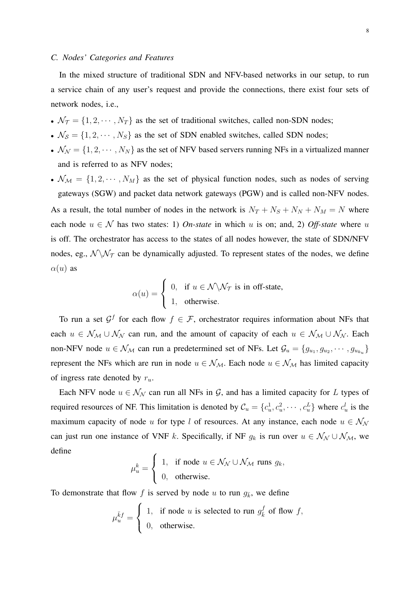# *C. Nodes' Categories and Features*

In the mixed structure of traditional SDN and NFV-based networks in our setup, to run a service chain of any user's request and provide the connections, there exist four sets of network nodes, i.e.,

- $\mathcal{N}_{\mathcal{T}} = \{1, 2, \cdots, N_T\}$  as the set of traditional switches, called non-SDN nodes;
- $\mathcal{N}_{\mathcal{S}} = \{1, 2, \cdots, N_{\mathcal{S}}\}$  as the set of SDN enabled switches, called SDN nodes;
- $\mathcal{N}_{\mathcal{N}} = \{1, 2, \cdots, N_N\}$  as the set of NFV based servers running NFs in a virtualized manner and is referred to as NFV nodes;
- $\mathcal{N}_{\mathcal{M}} = \{1, 2, \cdots, N_M\}$  as the set of physical function nodes, such as nodes of serving gateways (SGW) and packet data network gateways (PGW) and is called non-NFV nodes. As a result, the total number of nodes in the network is  $N_T + N_S + N_N + N_M = N$  where each node  $u \in \mathcal{N}$  has two states: 1) *On-state* in which u is on; and, 2) *Off-state* where u is off. The orchestrator has access to the states of all nodes however, the state of SDN/NFV nodes, eg.,  $\mathcal{N} \backslash \mathcal{N}_{\mathcal{T}}$  can be dynamically adjusted. To represent states of the nodes, we define  $\alpha(u)$  as

$$
\alpha(u) = \begin{cases} 0, & \text{if } u \in \mathcal{N} \setminus \mathcal{N}_{\mathcal{T}} \text{ is in off-state,} \\ 1, & \text{otherwise.} \end{cases}
$$

To run a set  $\mathcal{G}^f$  for each flow  $f \in \mathcal{F}$ , orchestrator requires information about NFs that each  $u \in \mathcal{N}_{\mathcal{M}} \cup \mathcal{N}_{\mathcal{N}}$  can run, and the amount of capacity of each  $u \in \mathcal{N}_{\mathcal{M}} \cup \mathcal{N}_{\mathcal{N}}$ . Each non-NFV node  $u \in \mathcal{N}_{\mathcal{M}}$  can run a predetermined set of NFs. Let  $\mathcal{G}_u = \{g_{u_1}, g_{u_2}, \cdots, g_{u_{k_u}}\}$ represent the NFs which are run in node  $u \in \mathcal{N}_{\mathcal{M}}$ . Each node  $u \in \mathcal{N}_{\mathcal{M}}$  has limited capacity of ingress rate denoted by  $r_u$ .

Each NFV node  $u \in \mathcal{N}_{\mathcal{N}}$  can run all NFs in  $\mathcal{G}$ , and has a limited capacity for L types of required resources of NF. This limitation is denoted by  $\mathcal{C}_u = \{c_u^1, c_u^2, \cdots, c_u^L\}$  where  $c_u^l$  is the maximum capacity of node u for type l of resources. At any instance, each node  $u \in \mathcal{N}_{\mathcal{N}}$ can just run one instance of VNF k. Specifically, if NF  $g_k$  is run over  $u \in \mathcal{N}_{\mathcal{N}} \cup \mathcal{N}_{\mathcal{M}}$ , we define

$$
\mu_u^k = \begin{cases} 1, & \text{if node } u \in \mathcal{N}_\mathcal{N} \cup \mathcal{N}_\mathcal{M} \text{ runs } g_k, \\ 0, & \text{otherwise.} \end{cases}
$$

To demonstrate that flow f is served by node u to run  $g_{\bar{k}}$ , we define

$$
\mu_u^{\bar{k}f} = \begin{cases} 1, & \text{if node } u \text{ is selected to run } g_{\bar{k}}^f \text{ of flow } f, \\ 0, & \text{otherwise.} \end{cases}
$$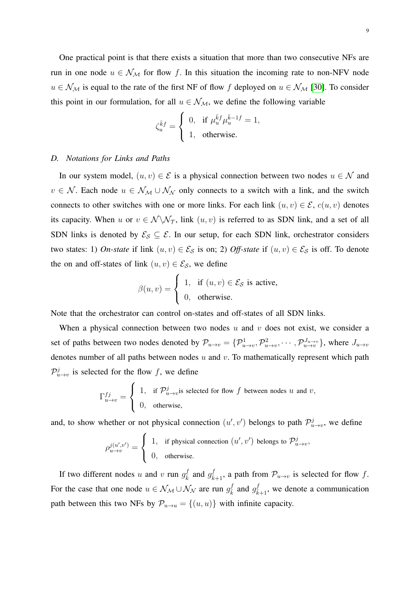One practical point is that there exists a situation that more than two consecutive NFs are run in one node  $u \in \mathcal{N}_{\mathcal{M}}$  for flow f. In this situation the incoming rate to non-NFV node  $u \in \mathcal{N}_{\mathcal{M}}$  is equal to the rate of the first NF of flow f deployed on  $u \in \mathcal{N}_{\mathcal{M}}$  [\[30\]](#page-30-9). To consider this point in our formulation, for all  $u \in \mathcal{N}_{\mathcal{M}}$ , we define the following variable

$$
\zeta_u^{\bar k f} = \begin{cases} 0, & \text{if} \,\, \mu_u^{\bar k f} \mu_u^{\bar k - 1 f} = 1, \\ 1, & \text{otherwise.} \end{cases}
$$

# *D. Notations for Links and Paths*

In our system model,  $(u, v) \in \mathcal{E}$  is a physical connection between two nodes  $u \in \mathcal{N}$  and  $v \in \mathcal{N}$ . Each node  $u \in \mathcal{N}_{\mathcal{M}} \cup \mathcal{N}_{\mathcal{N}}$  only connects to a switch with a link, and the switch connects to other switches with one or more links. For each link  $(u, v) \in \mathcal{E}$ ,  $c(u, v)$  denotes its capacity. When u or  $v \in \mathcal{N} \backslash \mathcal{N}_{\mathcal{T}}$ , link  $(u, v)$  is referred to as SDN link, and a set of all SDN links is denoted by  $\mathcal{E}_{\mathcal{S}} \subseteq \mathcal{E}$ . In our setup, for each SDN link, orchestrator considers two states: 1) *On-state* if link  $(u, v) \in \mathcal{E}_{\mathcal{S}}$  is on; 2) *Off-state* if  $(u, v) \in \mathcal{E}_{\mathcal{S}}$  is off. To denote the on and off-states of link  $(u, v) \in \mathcal{E}_{\mathcal{S}}$ , we define

$$
\beta(u, v) = \begin{cases} 1, & \text{if } (u, v) \in \mathcal{E}_{\mathcal{S}} \text{ is active,} \\ 0, & \text{otherwise.} \end{cases}
$$

Note that the orchestrator can control on-states and off-states of all SDN links.

When a physical connection between two nodes  $u$  and  $v$  does not exist, we consider a set of paths between two nodes denoted by  $\mathcal{P}_{u\to v} = \{\mathcal{P}_{u\to v}^1, \mathcal{P}_{u\to v}^2, \cdots, \mathcal{P}_{u\to v}^{J_{u\to v}}\}$ , where  $J_{u\to v}$ denotes number of all paths between nodes  $u$  and  $v$ . To mathematically represent which path  $\mathcal{P}_{u\to v}^j$  is selected for the flow f, we define

$$
\Gamma_{u \to v}^{fj} = \begin{cases} 1, & \text{if } \mathcal{P}_{u \to v}^j \text{is selected for flow } f \text{ between nodes } u \text{ and } v, \\ 0, & \text{otherwise,} \end{cases}
$$

and, to show whether or not physical connection  $(u', v')$  belongs to path  $\mathcal{P}_{u \to v}^j$ , we define

$$
\rho_{u \to v}^{j(u',v')} = \begin{cases} 1, & \text{if physical connection } (u',v') \text{ belongs to } \mathcal{P}_{u \to v}^j, \\ 0, & \text{otherwise.} \end{cases}
$$

If two different nodes u and v run  $g_{\bar{k}}^f$  and  $g_{\bar{k}+1}^f$ , a path from  $\mathcal{P}_{u\to v}$  is selected for flow f. For the case that one node  $u \in \mathcal{N}_{\mathcal{M}} \cup \mathcal{N}_{\mathcal{N}}$  are run  $g_{\bar{k}}^f$  and  $g_{\bar{k}+1}^f$ , we denote a communication path between this two NFs by  $\mathcal{P}_{u\to u} = \{(u, u)\}\$  with infinite capacity.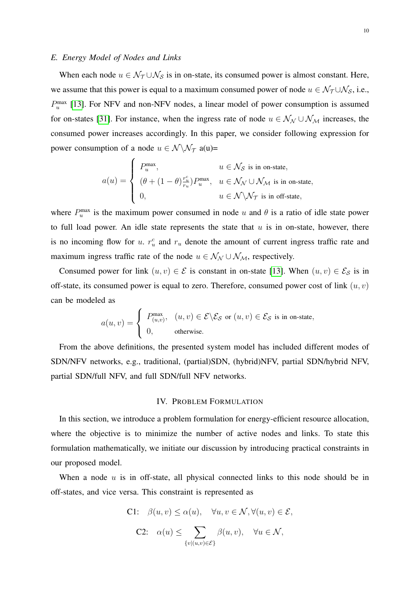# *E. Energy Model of Nodes and Links*

When each node  $u \in \mathcal{N}_{\mathcal{T}} \cup \mathcal{N}_{\mathcal{S}}$  is in on-state, its consumed power is almost constant. Here, we assume that this power is equal to a maximum consumed power of node  $u \in \mathcal{N}_{\mathcal{T}} \cup \mathcal{N}_{\mathcal{S}}$ , i.e.,  $P_u^{\text{max}}$  [\[13\]](#page-29-9). For NFV and non-NFV nodes, a linear model of power consumption is assumed for on-states [\[31\]](#page-30-10). For instance, when the ingress rate of node  $u \in \mathcal{N}_{\mathcal{N}} \cup \mathcal{N}_{\mathcal{M}}$  increases, the consumed power increases accordingly. In this paper, we consider following expression for power consumption of a node  $u \in \mathcal{N} \backslash \mathcal{N}_{\mathcal{T}}$  a(u)=

$$
a(u) = \left\{ \begin{array}{ll} P_u^{\max}, & u \in \mathcal{N}_{\mathcal{S}} \text{ is in on-state}, \\ & (\theta + (1-\theta) \frac{r_u^c}{r_u}) P_u^{\max}, & u \in \mathcal{N}_{\mathcal{N}} \cup \mathcal{N}_{\mathcal{M}} \text{ is in on-state}, \\ & u \in \mathcal{N} \backslash \mathcal{N}_{\mathcal{T}} \text{ is in off-state}, \end{array} \right.
$$

where  $P_u^{\text{max}}$  is the maximum power consumed in node u and  $\theta$  is a ratio of idle state power to full load power. An idle state represents the state that  $u$  is in on-state, however, there is no incoming flow for u.  $r_u^c$  and  $r_u$  denote the amount of current ingress traffic rate and maximum ingress traffic rate of the node  $u \in \mathcal{N}_{\mathcal{N}} \cup \mathcal{N}_{\mathcal{M}}$ , respectively.

Consumed power for link  $(u, v) \in \mathcal{E}$  is constant in on-state [\[13\]](#page-29-9). When  $(u, v) \in \mathcal{E}_{\mathcal{S}}$  is in off-state, its consumed power is equal to zero. Therefore, consumed power cost of link  $(u, v)$ can be modeled as

$$
a(u, v) = \begin{cases} P_{(u,v)}^{\max}, & (u, v) \in \mathcal{E} \backslash \mathcal{E}_{\mathcal{S}} \text{ or } (u, v) \in \mathcal{E}_{\mathcal{S}} \text{ is in on-state,} \\ 0, & \text{otherwise.} \end{cases}
$$

From the above definitions, the presented system model has included different modes of SDN/NFV networks, e.g., traditional, (partial)SDN, (hybrid)NFV, partial SDN/hybrid NFV, partial SDN/full NFV, and full SDN/full NFV networks.

# IV. PROBLEM FORMULATION

<span id="page-9-0"></span>In this section, we introduce a problem formulation for energy-efficient resource allocation, where the objective is to minimize the number of active nodes and links. To state this formulation mathematically, we initiate our discussion by introducing practical constraints in our proposed model.

When a node  $u$  is in off-state, all physical connected links to this node should be in off-states, and vice versa. This constraint is represented as

C1: 
$$
\beta(u, v) \leq \alpha(u)
$$
,  $\forall u, v \in \mathcal{N}, \forall (u, v) \in \mathcal{E}$ ,  
C2:  $\alpha(u) \leq \sum_{\{v | (u, v) \in \mathcal{E}\}} \beta(u, v)$ ,  $\forall u \in \mathcal{N}$ ,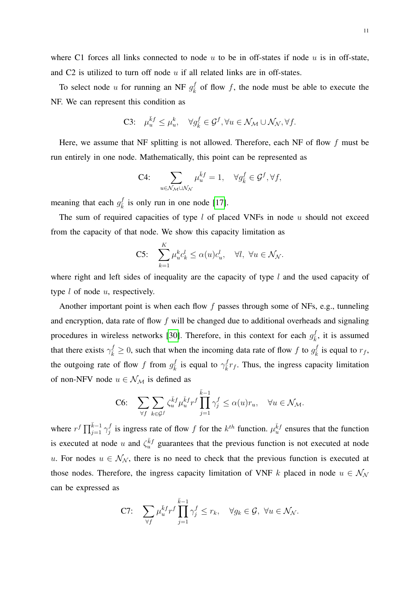where C1 forces all links connected to node  $u$  to be in off-states if node  $u$  is in off-state, and C2 is utilized to turn off node  $u$  if all related links are in off-states.

To select node u for running an NF  $g_{\overline{k}}^f$  of flow f, the node must be able to execute the NF. We can represent this condition as

C3: 
$$
\mu_u^{\bar{k}f} \le \mu_u^k
$$
,  $\forall g_{\bar{k}}^f \in \mathcal{G}^f$ ,  $\forall u \in \mathcal{N}_{\mathcal{M}} \cup \mathcal{N}_{\mathcal{N}}$ ,  $\forall f$ .

Here, we assume that NF splitting is not allowed. Therefore, each NF of flow  $f$  must be run entirely in one node. Mathematically, this point can be represented as

$$
\text{C4:} \quad \sum_{u \in \mathcal{N}_{\mathcal{M}} \cup \mathcal{N}_{\mathcal{N}}} \mu_u^{\bar{k}f} = 1, \quad \forall g_{\bar{k}}^f \in \mathcal{G}^f, \forall f,
$$

meaning that each  $g_{\overline{k}}^f$  $\frac{J}{k}$  is only run in one node [\[17\]](#page-29-12).

The sum of required capacities of type  $l$  of placed VNFs in node  $u$  should not exceed from the capacity of that node. We show this capacity limitation as

C5: 
$$
\sum_{k=1}^K \mu_u^k c_k^l \leq \alpha(u) c_u^l, \quad \forall l, \ \forall u \in \mathcal{N}_{\mathcal{N}}.
$$

where right and left sides of inequality are the capacity of type  $l$  and the used capacity of type  $l$  of node  $u$ , respectively.

Another important point is when each flow  $f$  passes through some of NFs, e.g., tunneling and encryption, data rate of flow  $f$  will be changed due to additional overheads and signaling procedures in wireless networks [\[30\]](#page-30-9). Therefore, in this context for each  $g_{\bar{k}}^f$  $\frac{d}{k}$ , it is assumed that there exists  $\gamma_{\bar{k}}^f \geq 0$ , such that when the incoming data rate of flow f to  $g_{\bar{k}}^f$  $k \overline{k}$  is equal to  $r_f$ , the outgoing rate of flow f from  $g_{\bar{k}}^f$  $\frac{f}{k}$  is equal to  $\gamma \frac{f}{k} r_f$ . Thus, the ingress capacity limitation of non-NFV node  $u \in \mathcal{N}_{\mathcal{M}}$  is defined as

$$
\text{C6:} \quad \sum_{\forall f} \sum_{k \in \mathcal{G}^f} \zeta_u^{\bar{k}f} \mu_u^{\bar{k}f} r^f \prod_{j=1}^{\bar{k}-1} \gamma_j^f \le \alpha(u) r_u, \quad \forall u \in \mathcal{N}_{\mathcal{M}}.
$$

where  $r^f \prod_{j=1}^{\bar{k}-1} \gamma_j^f$  $j_j$  is ingress rate of flow f for the  $k^{th}$  function.  $\mu_k^{\bar{k}f}$  ensures that the function is executed at node u and  $\zeta_u^{\bar{k}f}$  guarantees that the previous function is not executed at node u. For nodes  $u \in \mathcal{N}_{\mathcal{N}}$ , there is no need to check that the previous function is executed at those nodes. Therefore, the ingress capacity limitation of VNF k placed in node  $u \in \mathcal{N}_{\mathcal{N}}$ can be expressed as

$$
\textbf{C7:} \quad \sum_{\forall f} \mu_u^{\bar{k}f} r^f \prod_{j=1}^{\bar{k}-1} \gamma_j^f \le r_k, \quad \forall g_k \in \mathcal{G}, \ \forall u \in \mathcal{N}_{\mathcal{N}}.
$$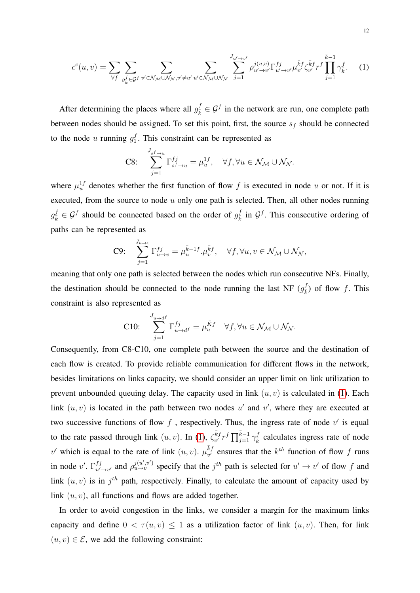<span id="page-11-0"></span>
$$
c^{c}(u,v) = \sum_{\forall f} \sum_{g_{\bar{k}}^{f} \in \mathcal{G}^{f}} \sum_{v' \in \mathcal{N}_{\mathcal{M}} \cup \mathcal{N}_{\mathcal{N}}, v' \neq u'} \sum_{u' \in \mathcal{N}_{\mathcal{M}} \cup \mathcal{N}_{\mathcal{N}}} \sum_{j=1}^{J_{u' \to v'}} \rho_{u' \to v'}^{j(u,v)} \Gamma_{u' \to v'}^{f_j} \mu_{v'}^{\bar{k}f} \zeta_{v'}^{\bar{k}f} \Gamma_{j}^{\bar{k}-1} \prod_{j=1}^{\bar{k}-1} \gamma_{\bar{k}}^{f}.
$$
 (1)

After determining the places where all  $g_k^f \in \mathcal{G}^f$  in the network are run, one complete path between nodes should be assigned. To set this point, first, the source  $s_f$  should be connected to the node u running  $g_1^f$  $1<sub>1</sub>$ . This constraint can be represented as

$$
\text{C8:} \quad \sum_{j=1}^{J_{sf \to u}} \Gamma_{s^f \to u}^{fj} = \mu_u^{1f}, \quad \forall f, \forall u \in \mathcal{N}_{\mathcal{M}} \cup \mathcal{N}_{\mathcal{N}}.
$$

where  $\mu_u^{1f}$  denotes whether the first function of flow f is executed in node u or not. If it is executed, from the source to node  $u$  only one path is selected. Then, all other nodes running  $g_{\bar{k}}^f \in \mathcal{G}^f$  should be connected based on the order of  $g_{\bar{k}}^f$  $\frac{f}{k}$  in  $\mathcal{G}^f$ . This consecutive ordering of paths can be represented as

C9: 
$$
\sum_{j=1}^{J_{u\to v}} \Gamma_{u\to v}^{fj} = \mu_u^{\bar{k}-1f} \cdot \mu_v^{\bar{k}f}, \quad \forall f, \forall u, v \in \mathcal{N}_{\mathcal{M}} \cup \mathcal{N}_{\mathcal{N}},
$$

meaning that only one path is selected between the nodes which run consecutive NFs. Finally, the destination should be connected to the node running the last NF  $(g_x^{\dagger})$  $(\frac{f}{k})$  of flow f. This constraint is also represented as

C10: 
$$
\sum_{j=1}^{J_{u\to d^f}} \Gamma_{u\to d^f}^{fj} = \mu_u^{\bar{K}f} \quad \forall f, \forall u \in \mathcal{N}_{\mathcal{M}} \cup \mathcal{N}_{\mathcal{N}}.
$$

Consequently, from C8-C10, one complete path between the source and the destination of each flow is created. To provide reliable communication for different flows in the network, besides limitations on links capacity, we should consider an upper limit on link utilization to prevent unbounded queuing delay. The capacity used in link  $(u, v)$  is calculated in [\(1\)](#page-11-0). Each link  $(u, v)$  is located in the path between two nodes u' and v', where they are executed at two successive functions of flow f, respectively. Thus, the ingress rate of node  $v'$  is equal to the rate passed through link  $(u, v)$ . In [\(1\)](#page-11-0),  $\zeta_{n'}^{\bar{k}j}$  $\sqrt{k}$ f $r$ <sup>f</sup> $\prod_{j=1}^{k-1} \gamma_{\overline{k}}^f$  calculates ingress rate of node v' which is equal to the rate of link  $(u, v)$ .  $\mu_{v'}^{\bar{k}f}$  $v'_{v'}$  ensures that the  $k^{th}$  function of flow f runs in node v'.  $\Gamma_{u'}^{fj}$  $u \to v'$  and  $\rho_{u \to v}^{j(u',v')}$  specify that the  $j<sup>th</sup>$  path is selected for  $u' \to v'$  of flow f and link  $(u, v)$  is in  $j<sup>th</sup>$  path, respectively. Finally, to calculate the amount of capacity used by link  $(u, v)$ , all functions and flows are added together.

In order to avoid congestion in the links, we consider a margin for the maximum links capacity and define  $0 < \tau(u, v) \leq 1$  as a utilization factor of link  $(u, v)$ . Then, for link  $(u, v) \in \mathcal{E}$ , we add the following constraint: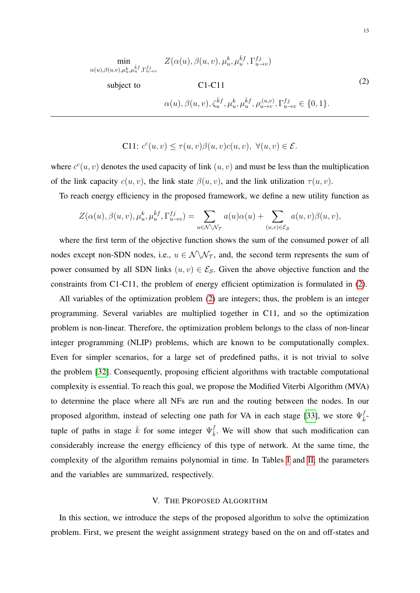<span id="page-12-1"></span>
$$
\min_{\alpha(u),\beta(u,v),\mu_u^k,\mu_u^{\bar{k}f},\Gamma_{u\to v}^{fj}} Z(\alpha(u),\beta(u,v),\mu_u^k,\mu_u^{\bar{k}f},\Gamma_{u\to v}^{fj})
$$
\nsubject to\n
$$
\text{C1-C11}
$$
\n
$$
\alpha(u),\beta(u,v),\zeta_u^{\bar{k}f},\mu_u^k,\mu_u^{\bar{k}f},\rho_{u\to v}^{(u,v)},\Gamma_{u\to v}^{fj} \in \{0,1\}.
$$
\n
$$
(2)
$$

C11: 
$$
c^c(u, v) \leq \tau(u, v)\beta(u, v)c(u, v), \ \forall (u, v) \in \mathcal{E}.
$$

where  $c^{c}(u, v)$  denotes the used capacity of link  $(u, v)$  and must be less than the multiplication of the link capacity  $c(u, v)$ , the link state  $\beta(u, v)$ , and the link utilization  $\tau(u, v)$ .

To reach energy efficiency in the proposed framework, we define a new utility function as

$$
Z(\alpha(u), \beta(u, v), \mu_u^k, \mu_u^{\bar{k}f}, \Gamma_{u \to v}^{fj}) = \sum_{u \in \mathcal{N} \setminus \mathcal{N}_{\mathcal{T}}} a(u)\alpha(u) + \sum_{(u, v) \in \mathcal{E}_{\mathcal{S}}} a(u, v)\beta(u, v),
$$

where the first term of the objective function shows the sum of the consumed power of all nodes except non-SDN nodes, i.e.,  $u \in \mathcal{N} \setminus \mathcal{N}_{\mathcal{T}}$ , and, the second term represents the sum of power consumed by all SDN links  $(u, v) \in \mathcal{E}_{\mathcal{S}}$ . Given the above objective function and the constraints from C1-C11, the problem of energy efficient optimization is formulated in [\(2\)](#page-12-1).

All variables of the optimization problem [\(2\)](#page-12-1) are integers; thus, the problem is an integer programming. Several variables are multiplied together in C11, and so the optimization problem is non-linear. Therefore, the optimization problem belongs to the class of non-linear integer programming (NLIP) problems, which are known to be computationally complex. Even for simpler scenarios, for a large set of predefined paths, it is not trivial to solve the problem [\[32\]](#page-30-11). Consequently, proposing efficient algorithms with tractable computational complexity is essential. To reach this goal, we propose the Modified Viterbi Algorithm (MVA) to determine the place where all NFs are run and the routing between the nodes. In our proposed algorithm, instead of selecting one path for VA in each stage [\[33\]](#page-30-12), we store  $\Psi_{\bar{i}}^j$  $rac{J}{k}$ tuple of paths in stage  $\bar{k}$  for some integer  $\Psi_{\bar{k}}^f$  $\frac{J}{k}$ . We will show that such modification can considerably increase the energy efficiency of this type of network. At the same time, the complexity of the algorithm remains polynomial in time. In Tables [I](#page-13-0) and [II,](#page-13-1) the parameters and the variables are summarized, respectively.

# V. THE PROPOSED ALGORITHM

<span id="page-12-0"></span>In this section, we introduce the steps of the proposed algorithm to solve the optimization problem. First, we present the weight assignment strategy based on the on and off-states and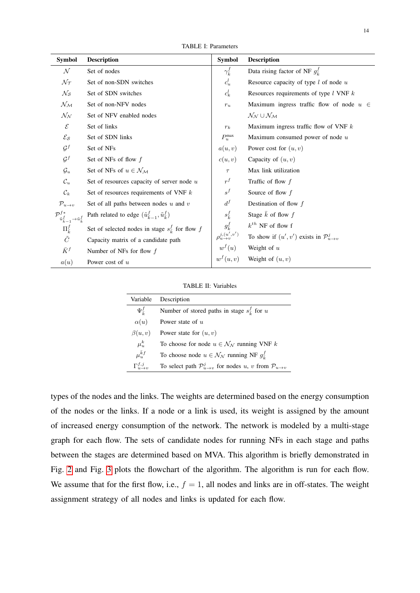TABLE I: Parameters

<span id="page-13-0"></span>

| <b>Symbol</b>                                                             | <b>Description</b>                                                      | Symbol                       | <b>Description</b>                                        |
|---------------------------------------------------------------------------|-------------------------------------------------------------------------|------------------------------|-----------------------------------------------------------|
| $\cal N$                                                                  | Set of nodes                                                            | $\gamma_{\overline{k}}^f$    | Data rising factor of NF $g_{\overline{k}}^f$             |
| $\mathcal{N}_{\mathcal{T}}$                                               | Set of non-SDN switches                                                 | $c_u^l$                      | Resource capacity of type $l$ of node $u$                 |
| $\mathcal{N}_{\mathcal{S}}$                                               | Set of SDN switches                                                     | $c_k^l$                      | Resources requirements of type $l$ VNF $k$                |
| $\mathcal{N}_{\mathcal{M}}$                                               | Set of non-NFV nodes                                                    | $r_u$                        | Maximum ingress traffic flow of node $u \in$              |
| $\mathcal{N}_{\mathcal{N}}$                                               | Set of NFV enabled nodes                                                |                              | $\mathcal{N}_{\mathcal{N}}\cup\mathcal{N}_{\mathcal{M}}$  |
| $\mathcal{E}$                                                             | Set of links                                                            | $r_k$                        | Maximum ingress traffic flow of VNF $k$                   |
| $\mathcal{E}_{\mathcal{S}}$                                               | Set of SDN links                                                        | $P_u^{\max}$                 | Maximum consumed power of node $u$                        |
| $\mathcal{G}^f$                                                           | Set of NFs                                                              | a(u,v)                       | Power cost for $(u, v)$                                   |
| $\mathcal{G}^f$                                                           | Set of NFs of flow $f$                                                  | c(u, v)                      | Capacity of $(u, v)$                                      |
| $\mathcal{G}_u$                                                           | Set of NFs of $u\in\mathcal{N}_{\mathcal{M}}$                           | $\tau$                       | Max link utilization                                      |
| $\mathcal{C}_u$                                                           | Set of resources capacity of server node $u$                            | $r^f$                        | Traffic of flow $f$                                       |
| $\mathcal{C}_k$                                                           | Set of resources requirements of VNF $k$                                | $s^f$                        | Source of flow $f$                                        |
| $\mathcal{P}_{u\to v}$                                                    | Set of all paths between nodes $u$ and $v$                              | $d^f$                        | Destination of flow $f$                                   |
| $\mathcal{P}^{f*}_{\tilde u^f_{\bar k-1}\rightarrow \tilde u^f_{\bar k}}$ | Path related to edge $(\tilde{u}^f_{\bar{k}-1}, \tilde{u}^f_{\bar{k}})$ | $s_{\bar{k}}^f$              | Stage $\overline{k}$ of flow $f$                          |
| $\Pi_{\bar{k}}^{f}$                                                       | Set of selected nodes in stage $s_{\overline{k}}^f$ for flow f          | $g_{\bar{k}}^f$              | $k^{th}$ NF of flow f                                     |
| $\tilde{C}$                                                               | Capacity matrix of a candidate path                                     | $\rho_{u \to v}^{j,(u',v')}$ | To show if $(u', v')$ exists in $\mathcal{P}_{u \to v}^j$ |
| $\bar{K}^f$                                                               | Number of NFs for flow $f$                                              | $w^f(u)$                     | Weight of $u$                                             |
| a(u)                                                                      | Power cost of $u$                                                       | $w^f(u, v)$                  | Weight of $(u, v)$                                        |

TABLE II: Variables

<span id="page-13-1"></span>

| Variable                        | Description                                                                          |
|---------------------------------|--------------------------------------------------------------------------------------|
| $\Psi_{\overline{k}}^f$         | Number of stored paths in stage $s_{\overline{k}}^f$ for u                           |
| $\alpha(u)$                     | Power state of $u$                                                                   |
| $\beta(u,v)$                    | Power state for $(u, v)$                                                             |
| $\mu_u^k$                       | To choose for node $u \in \mathcal{N}_{\mathcal{N}}$ running VNF k                   |
| $\mu_n^{\bar k f}$              | To choose node $u \in \mathcal{N}_{\mathcal{N}}$ running NF $g_{\overline{\iota}}^f$ |
| $\Gamma_{u\rightarrow a}^{f,j}$ | To select path $\mathcal{P}_{u \to v}^j$ for nodes u, v from $\mathcal{P}_{u \to v}$ |

types of the nodes and the links. The weights are determined based on the energy consumption of the nodes or the links. If a node or a link is used, its weight is assigned by the amount of increased energy consumption of the network. The network is modeled by a multi-stage graph for each flow. The sets of candidate nodes for running NFs in each stage and paths between the stages are determined based on MVA. This algorithm is briefly demonstrated in Fig. [2](#page-15-0) and Fig. [3](#page-16-0) plots the flowchart of the algorithm. The algorithm is run for each flow. We assume that for the first flow, i.e.,  $f = 1$ , all nodes and links are in off-states. The weight assignment strategy of all nodes and links is updated for each flow.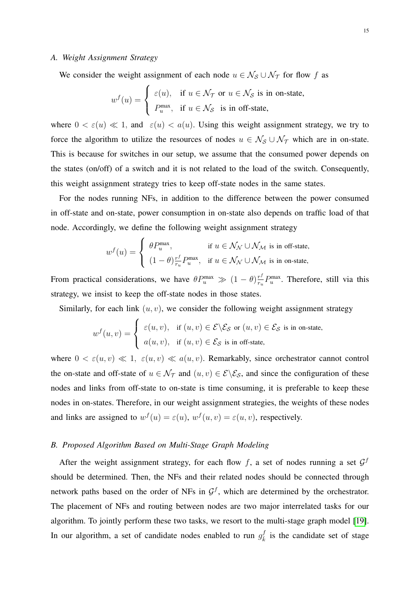## *A. Weight Assignment Strategy*

We consider the weight assignment of each node  $u \in \mathcal{N}_{\mathcal{S}} \cup \mathcal{N}_{\mathcal{T}}$  for flow f as

$$
w^{f}(u) = \begin{cases} \varepsilon(u), & \text{if } u \in \mathcal{N}_{\mathcal{T}} \text{ or } u \in \mathcal{N}_{\mathcal{S}} \text{ is in on-state,} \\ P_u^{\max}, & \text{if } u \in \mathcal{N}_{\mathcal{S}} \text{ is in off-state,} \end{cases}
$$

where  $0 < \varepsilon(u) \ll 1$ , and  $\varepsilon(u) < a(u)$ . Using this weight assignment strategy, we try to force the algorithm to utilize the resources of nodes  $u \in \mathcal{N}_{\mathcal{S}} \cup \mathcal{N}_{\mathcal{T}}$  which are in on-state. This is because for switches in our setup, we assume that the consumed power depends on the states (on/off) of a switch and it is not related to the load of the switch. Consequently, this weight assignment strategy tries to keep off-state nodes in the same states.

For the nodes running NFs, in addition to the difference between the power consumed in off-state and on-state, power consumption in on-state also depends on traffic load of that node. Accordingly, we define the following weight assignment strategy

$$
w^f(u) = \begin{cases} \theta P_u^{\max}, & \text{if } u \in \mathcal{N}_{\mathcal{N}} \cup \mathcal{N}_{\mathcal{M}} \text{ is in off-state,} \\ (1 - \theta) \frac{r^f}{r_u} P_u^{\max}, & \text{if } u \in \mathcal{N}_{\mathcal{N}} \cup \mathcal{N}_{\mathcal{M}} \text{ is in on-state,} \end{cases}
$$

From practical considerations, we have  $\theta P_u^{\max} \gg (1 - \theta) \frac{r^f}{r_u}$  $\frac{r^j}{r_u} P_u^{\max}$ . Therefore, still via this strategy, we insist to keep the off-state nodes in those states.

Similarly, for each link  $(u, v)$ , we consider the following weight assignment strategy

$$
w^{f}(u,v) = \begin{cases} \varepsilon(u,v), & \text{if } (u,v) \in \mathcal{E} \setminus \mathcal{E}_{\mathcal{S}} \text{ or } (u,v) \in \mathcal{E}_{\mathcal{S}} \text{ is in on-state,} \\ a(u,v), & \text{if } (u,v) \in \mathcal{E}_{\mathcal{S}} \text{ is in off-state,} \end{cases}
$$

where  $0 < \varepsilon(u, v) \ll 1$ ,  $\varepsilon(u, v) \ll a(u, v)$ . Remarkably, since orchestrator cannot control the on-state and off-state of  $u \in \mathcal{N}_{\mathcal{T}}$  and  $(u, v) \in \mathcal{E} \backslash \mathcal{E}_{\mathcal{S}}$ , and since the configuration of these nodes and links from off-state to on-state is time consuming, it is preferable to keep these nodes in on-states. Therefore, in our weight assignment strategies, the weights of these nodes and links are assigned to  $w^f(u) = \varepsilon(u)$ ,  $w^f(u, v) = \varepsilon(u, v)$ , respectively.

# *B. Proposed Algorithm Based on Multi-Stage Graph Modeling*

After the weight assignment strategy, for each flow f, a set of nodes running a set  $\mathcal{G}^f$ should be determined. Then, the NFs and their related nodes should be connected through network paths based on the order of NFs in  $\mathcal{G}^f$ , which are determined by the orchestrator. The placement of NFs and routing between nodes are two major interrelated tasks for our algorithm. To jointly perform these two tasks, we resort to the multi-stage graph model [\[19\]](#page-29-14). In our algorithm, a set of candidate nodes enabled to run  $g_{\bar{k}}^f$  $\frac{J}{k}$  is the candidate set of stage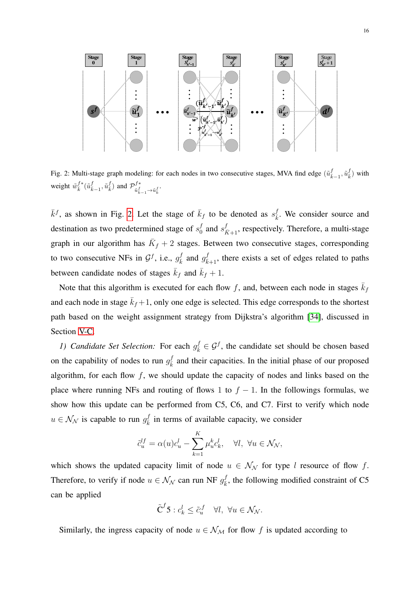<span id="page-15-0"></span>

Fig. 2: Multi-stage graph modeling: for each nodes in two consecutive stages, MVA find edge  $(\tilde{u}^f_{\bar{k}-1}, \tilde{u}^f_{\bar{k}})$  with weight  $\tilde{w}_{\bar{k}}^{f*}(\tilde{u}_{\bar{k}-1}^f, \tilde{u}_{\bar{k}}^f)$  and  $\mathcal{P}_{\tilde{u}_{\bar{k}}^f}^{f*}$  $\tilde{u}^f_{\bar{k}-1}$   $\rightarrow$   $\tilde{u}^f_{\bar{k}}$   $\cdot$ 

 $\bar{k}^f$ , as shown in Fig. [2.](#page-15-0) Let the stage of  $\bar{k}_f$  to be denoted as  $s_{\bar{k}}^f$  $\frac{J}{k}$ . We consider source and destination as two predetermined stage of  $s_0^f$  $\frac{f}{f_0}$  and  $s_{\bar{K}+1}^f$ , respectively. Therefore, a multi-stage graph in our algorithm has  $\overline{K}_f + 2$  stages. Between two consecutive stages, corresponding to two consecutive NFs in  $\mathcal{G}^f$ , i.e.,  $g_{\bar{k}}^f$  and  $g_{\bar{k}+1}^f$ , there exists a set of edges related to paths between candidate nodes of stages  $\bar{k}_f$  and  $\bar{k}_f + 1$ .

Note that this algorithm is executed for each flow f, and, between each node in stages  $\bar{k}_f$ and each node in stage  $\bar{k}_f + 1$ , only one edge is selected. This edge corresponds to the shortest path based on the weight assignment strategy from Dijkstra's algorithm [\[34\]](#page-30-13), discussed in Section [V-C.](#page-18-0)

*1) Candidate Set Selection:* For each  $g_{\bar{k}}^f \in \mathcal{G}^f$ , the candidate set should be chosen based on the capability of nodes to run  $g_{\bar{k}}^f$  and their capacities. In the initial phase of our proposed algorithm, for each flow  $f$ , we should update the capacity of nodes and links based on the place where running NFs and routing of flows 1 to  $f - 1$ . In the followings formulas, we show how this update can be performed from C5, C6, and C7. First to verify which node  $u \in \mathcal{N}_{\mathcal{N}}$  is capable to run  $g_{\overline{k}}^f$  $\frac{J}{k}$  in terms of available capacity, we consider

$$
\tilde{c}_u^{lf} = \alpha(u)c_u^l - \sum_{k=1}^K \mu_u^k c_k^l, \quad \forall l, \ \forall u \in \mathcal{N}_\mathcal{N},
$$

which shows the updated capacity limit of node  $u \in \mathcal{N}_{\mathcal{N}}$  for type l resource of flow f. Therefore, to verify if node  $u \in \mathcal{N}_{\mathcal{N}}$  can run NF  $g_{\overline{k}}^f$  $k_{\bar{k}}^J$ , the following modified constraint of C5 can be applied

$$
\tilde{\mathbf{C}}^f \mathbf{5} : c_k^l \leq \tilde{c}_u^f \quad \forall l, \ \forall u \in \mathcal{N}_\mathcal{N}.
$$

Similarly, the ingress capacity of node  $u \in \mathcal{N}_{\mathcal{M}}$  for flow f is updated according to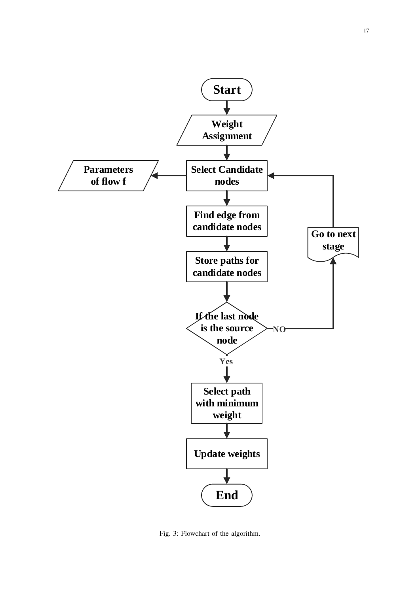<span id="page-16-0"></span>

Fig. 3: Flowchart of the algorithm.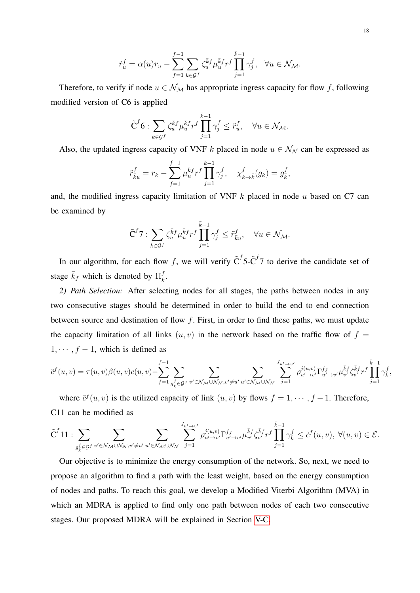$$
\tilde{r}_u^f = \alpha(u) r_u - \sum_{f=1}^{f-1} \sum_{k \in \mathcal{G}^f} \zeta_u^{\bar{k}f} \mu_u^{\bar{k}f} r^f \prod_{j=1}^{\bar{k}-1} \gamma_j^f, \quad \forall u \in \mathcal{N}_{\mathcal{M}}.
$$

Therefore, to verify if node  $u \in \mathcal{N}_{\mathcal{M}}$  has appropriate ingress capacity for flow f, following modified version of C6 is applied

$$
\tilde{C}^f 6: \sum_{k \in \mathcal{G}^f} \zeta_u^{\bar{k}f} \mu_u^{\bar{k}f} r^f \prod_{j=1}^{\bar{k}-1} \gamma_j^f \leq \tilde{r}_u^f, \quad \forall u \in \mathcal{N}_{\mathcal{M}}.
$$

Also, the updated ingress capacity of VNF k placed in node  $u \in \mathcal{N}_{\mathcal{N}}$  can be expressed as

$$
\tilde{r}_{\bar{k}u}^f = r_k - \sum_{f=1}^{f-1} \mu_u^{\bar{k}f} r^f \prod_{j=1}^{\bar{k}-1} \gamma_j^f, \quad \chi_{k \to \bar{k}}^f(g_k) = g_{\bar{k}}^f,
$$

and, the modified ingress capacity limitation of VNF  $k$  placed in node  $u$  based on C7 can be examined by

$$
\tilde{C}^f 7: \sum_{k \in \mathcal{G}^f} \zeta_u^{\bar{k}f} \mu_u^{\bar{k}f} r^f \prod_{j=1}^{\bar{k}-1} \gamma_j^f \leq \tilde{r}_{\bar{k}u}^f, \quad \forall u \in \mathcal{N}_{\mathcal{M}}.
$$

In our algorithm, for each flow f, we will verify  $\tilde{C}^f$  5- $\tilde{C}^f$  to derive the candidate set of stage  $\bar{k}_f$  which is denoted by  $\Pi_{\bar{k}}^f$  $\frac{J}{k}$ .

*2) Path Selection:* After selecting nodes for all stages, the paths between nodes in any two consecutive stages should be determined in order to build the end to end connection between source and destination of flow f. First, in order to find these paths, we must update the capacity limitation of all links  $(u, v)$  in the network based on the traffic flow of  $f =$  $1, \cdots, f-1$ , which is defined as

$$
\tilde{c}^{f}(u,v) = \tau(u,v)\beta(u,v)c(u,v) - \sum_{f=1}^{f-1} \sum_{g_{\tilde{k}}^f \in \mathcal{G}^f} \sum_{v' \in \mathcal{N}_{\mathcal{M}} \cup \mathcal{N}_{\mathcal{N}}, v' \neq u'} \sum_{u' \in \mathcal{N}_{\mathcal{M}} \cup \mathcal{N}_{\mathcal{N}}} \sum_{j=1}^{J_{u' \to v'}} \rho_{u' \to v'}^{j(u,v)} \Gamma_{u' \to v'}^{fj} \mu_{v'}^{\tilde{k}f} \zeta_{v'}^{\tilde{k}f} r^f \prod_{j=1}^{\tilde{k}-1} \gamma_{\tilde{k}}^f,
$$

where  $\tilde{c}^{f}(u, v)$  is the utilized capacity of link  $(u, v)$  by flows  $f = 1, \dots, f - 1$ . Therefore, C11 can be modified as

$$
\tilde{C}^{f}11: \sum_{g_{\bar{k}}^{f} \in \mathcal{G}^{f}} \sum_{v' \in \mathcal{N}_{\mathcal{M}} \cup \mathcal{N}_{\mathcal{N}}, v' \neq u'} \sum_{u' \in \mathcal{N}_{\mathcal{M}} \cup \mathcal{N}_{\mathcal{N}}} \sum_{j=1}^{J_{u' \to v'}} \rho_{u' \to v'}^{j(u,v)} \Gamma_{u' \to v'}^{fj} \mu_{v'}^{\bar{k}f} \zeta_{v'}^{\bar{k}f} \gamma^f \prod_{j=1}^{\bar{k}-1} \gamma_{\bar{k}}^f \leq \tilde{c}^{f}(u,v), \ \forall (u,v) \in \mathcal{E}.
$$

Our objective is to minimize the energy consumption of the network. So, next, we need to propose an algorithm to find a path with the least weight, based on the energy consumption of nodes and paths. To reach this goal, we develop a Modified Viterbi Algorithm (MVA) in which an MDRA is applied to find only one path between nodes of each two consecutive stages. Our proposed MDRA will be explained in Section [V-C.](#page-18-0)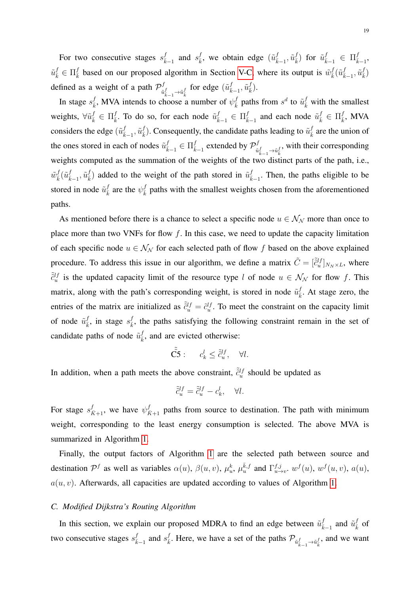For two consecutive stages  $s_{\bar{k}-1}^f$  and  $s_{\bar{k}}^f$ , we obtain edge  $(\tilde{u}_{\bar{k}-1}^f, \tilde{u}_{\bar{k}}^f)$  for  $\tilde{u}_{\bar{k}-1}^f \in \Pi_{\bar{k}-1}^f$ ,  $\tilde{u}^f_{\bar{k}} \in \Pi_{\bar{k}}^f$  based on our proposed algorithm in Section [V-C,](#page-18-0) where its output is  $\tilde{w}^f_{\bar{k}}(\tilde{u}^f_{\bar{k}-1}, \tilde{u}^f_{\bar{k}})$ defined as a weight of a path  $\mathcal{P}^f_{\tilde{n}}$  $\tilde{u}^f_{\bar{k}-1} \rightarrow \tilde{u}^f_{\bar{k}}$  for edge  $(\tilde{u}^f_{\bar{k}-1}, \tilde{u}^f_{\bar{k}})$ .

In stage  $s_{\bar{k}}^f$ , MVA intends to choose a number of  $\psi_{\bar{k}}^f$  paths from  $s^d$  to  $\tilde{u}_{\bar{k}}^f$  with the smallest weights,  $\forall \tilde{u}^f_{\bar{k}} \in \Pi_{\bar{k}}^f$ . To do so, for each node  $\tilde{u}^f_{\bar{k}-1} \in \Pi_{\bar{k}-1}^f$  and each node  $\tilde{u}^f_{\bar{k}} \in \Pi_{\bar{k}}^f$ , MVA considers the edge  $(\tilde{u}_{\bar{k}-1}^f, \tilde{u}_{\bar{k}}^f)$ . Consequently, the candidate paths leading to  $\tilde{u}_{\bar{k}}^f$  are the union of the ones stored in each of nodes  $\tilde{u}^f_{\bar{k}-1} \in \Pi_{\bar{k}-1}^f$  extended by  $\mathcal{P}^f_{\tilde{u}}$  $\tilde{u}^f_{\bar{k}-1} \rightarrow \tilde{u}^f_{\bar{k}}$ , with their corresponding weights computed as the summation of the weights of the two distinct parts of the path, i.e.,  $\tilde{w}_{\bar{k}}^f(\tilde{u}_{\bar{k}-1}^f, \tilde{u}_{\bar{k}}^f)$  added to the weight of the path stored in  $\tilde{u}_{\bar{k}-1}^f$ . Then, the paths eligible to be stored in node  $\tilde{u}^f_{\bar{k}}$  are the  $\psi^f_{\bar{k}}$  paths with the smallest weights chosen from the aforementioned paths.

As mentioned before there is a chance to select a specific node  $u \in \mathcal{N}_{\mathcal{N}}$  more than once to place more than two VNFs for flow  $f$ . In this case, we need to update the capacity limitation of each specific node  $u \in \mathcal{N}_{\mathcal{N}}$  for each selected path of flow f based on the above explained procedure. To address this issue in our algorithm, we define a matrix  $\tilde{C} = [\tilde{c}_u^{lf}]_{N_N \times L}$ , where  $\tilde{c}_u^{lf}$  is the updated capacity limit of the resource type l of node  $u \in \mathcal{N}_{\mathcal{N}}$  for flow f. This matrix, along with the path's corresponding weight, is stored in node  $\tilde{u}^f_{\bar{k}}$ . At stage zero, the entries of the matrix are initialized as  $\tilde{c}_u^{lf} = \tilde{c}_u^{lf}$ . To meet the constraint on the capacity limit of node  $\tilde{u}^f_{\bar{k}}$ , in stage  $s^f_{\bar{k}}$ , the paths satisfying the following constraint remain in the set of candidate paths of node  $\tilde{u}^f_{\bar{k}}$ , and are evicted otherwise:

$$
\tilde{\tilde{\mathbf{C}}} \tilde{\mathbf{5}} : \qquad c_k^l \leq \tilde{\tilde{c}}_u^{lf}, \quad \forall l.
$$

In addition, when a path meets the above constraint,  $\tilde{c}_{u}^{lf}$  should be updated as

$$
\tilde{\tilde{c}}^{lf}_u = \tilde{\tilde{c}}^{lf}_u - c^l_k, \quad \forall l.
$$

For stage  $s_{\bar{K}+1}^f$ , we have  $\psi_{\bar{K}+1}^f$  paths from source to destination. The path with minimum weight, corresponding to the least energy consumption is selected. The above MVA is summarized in Algorithm [1.](#page-19-0)

Finally, the output factors of Algorithm [1](#page-19-0) are the selected path between source and destination  $\mathcal{P}^f$  as well as variables  $\alpha(u)$ ,  $\beta(u, v)$ ,  $\mu_u^k$ ,  $\mu_u^{\bar{k}, f}$  and  $\Gamma_{u \to v}^{f, j}$ .  $w^f(u)$ ,  $w^f(u, v)$ ,  $a(u)$ ,  $a(u, v)$ . Afterwards, all capacities are updated according to values of Algorithm [1.](#page-19-0)

# <span id="page-18-0"></span>*C. Modified Dijkstra's Routing Algorithm*

In this section, we explain our proposed MDRA to find an edge between  $\tilde{u}^f_{\bar{k}-1}$  and  $\tilde{u}^f_{\bar{k}}$  of two consecutive stages  $s_{\bar{k}-1}^f$  and  $s_{\bar{k}}^f$ . Here, we have a set of the paths  $\mathcal{P}_{\tilde{u}_{\bar{k}-1}^f \to \tilde{u}_{\bar{k}}^f}$ , and we want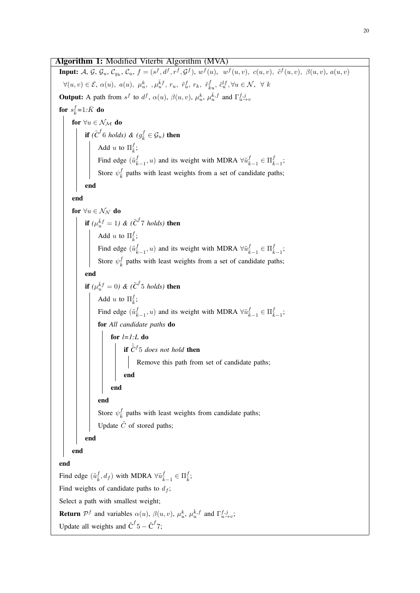# <span id="page-19-0"></span>Algorithm 1: Modified Viterbi Algorithm (MVA) **Input:** A, G,  $\mathcal{G}_u$ ,  $\mathcal{C}_{g_k}$ ,  $\mathcal{C}_u$ ,  $f = (s^f, d^f, r^f, \mathcal{G}^f)$ ,  $w^f(u)$ ,  $w^f(u, v)$ ,  $c(u, v)$ ,  $\tilde{c}^f(u, v)$ ,  $\beta(u, v)$ ,  $a(u, v)$  $\forall (u, v) \in \mathcal{E}, \alpha(u), a(u), \mu_u^k, \mu_u^{\bar{k}f}, r_u, \tilde{r}_u^f, r_k, \tilde{r}_{\bar{k}u}^f, \tilde{c}_u^{lf}, \forall u \in \mathcal{N}, \forall k$ **Output:** A path from  $s^f$  to  $d^f$ ,  $\alpha(u)$ ,  $\beta(u, v)$ ,  $\mu_u^k$ ,  $\mu_u^{\overline{k}, f}$  and  $\Gamma_{u \to v}^{f, j}$ for  $s_{\bar{k}}^f$ =1*:* $\bar{K}$  do for  $\forall u \in \mathcal{N}_{\mathcal{M}}$  do if  $(\tilde{C}^f 6 \text{ holds}) \& (g_{\bar{k}}^f \in \mathcal{G}_u)$  then Add u to  $\Pi_{\bar{k}}^{f}$ ; Find edge  $(\tilde{u}_{\bar{k}-1}^f, u)$  and its weight with MDRA  $\forall \tilde{u}_{\bar{k}-1}^f \in \Pi_{\bar{k}-1}^f$ ; Store  $\psi_{\bar{k}}^f$  paths with least weights from a set of candidate paths; end end for  $\forall u \in \mathcal{N}_{\mathcal{N}}$  do if  $(\mu_u^{\bar{k}f}=1)$  &  $(\tilde{C}^f$ 7 *holds*) then Add u to  $\Pi_{\bar{k}}^{f}$ ; Find edge  $(\tilde{u}_{\bar{k}-1}^f, u)$  and its weight with MDRA  $\forall \tilde{u}_{\bar{k}-1}^f \in \Pi_{\bar{k}-1}^f$ ; Store  $\psi_{\bar{k}}^f$  paths with least weights from a set of candidate paths; end if  $(\mu_u^{\bar{k}f}=0)$  &  $(\tilde{C}^f 5 \text{ holds})$  then Add u to  $\Pi_{\bar{k}}^{f}$ ; Find edge  $(\tilde{u}_{\bar{k}-1}^f, u)$  and its weight with MDRA  $\forall \tilde{u}_{\bar{k}-1}^f \in \Pi_{\bar{k}-1}^f$ ; for *All candidate paths* do for *l=1:L* do if  $\tilde{\tilde{C}}$ <sup>f</sup> 5 *does not hold* then Remove this path from set of candidate paths; end end end Store  $\psi_{\bar{k}}^f$  paths with least weights from candidate paths; Update  $\tilde{C}$  of stored paths; end end end Find edge  $(\tilde{u}_{\bar{k}}^f, d_f)$  with MDRA  $\forall \tilde{u}_{\bar{k}-1}^f \in \Pi_{\bar{k}}^f$ ; Find weights of candidate paths to  $d_f$ ; Select a path with smallest weight; **Return**  $\mathcal{P}^f$  and variables  $\alpha(u)$ ,  $\beta(u, v)$ ,  $\mu_u^k$ ,  $\mu_u^{\bar{k}, f}$  and  $\Gamma_{u \to v}^{f, j}$ ; Update all weights and  $\tilde{C}^f 5 - \tilde{C}^f 7$ ;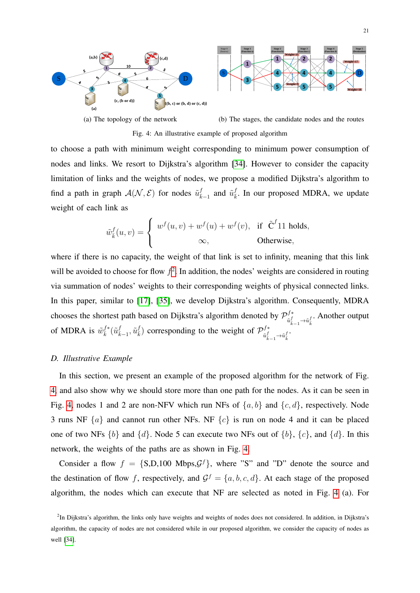<span id="page-20-1"></span>

Fig. 4: An illustrative example of proposed algorithm

to choose a path with minimum weight corresponding to minimum power consumption of nodes and links. We resort to Dijkstra's algorithm [\[34\]](#page-30-13). However to consider the capacity limitation of links and the weights of nodes, we propose a modified Dijkstra's algorithm to find a path in graph  $\mathcal{A}(\mathcal{N}, \mathcal{E})$  for nodes  $\tilde{u}^f_{\bar{k}-1}$  and  $\tilde{u}^f_{\bar{k}}$ . In our proposed MDRA, we update weight of each link as

$$
\tilde{w}_{\bar{k}}^f(u,v) = \begin{cases} w^f(u,v) + w^f(u) + w^f(v), & \text{if } \tilde{C}^f(1) \text{ holds,} \\ \infty, & \text{Otherwise,} \end{cases}
$$

where if there is no capacity, the weight of that link is set to infinity, meaning that this link will be avoided to choose for flow  $f^2$  $f^2$ . In addition, the nodes' weights are considered in routing via summation of nodes' weights to their corresponding weights of physical connected links. In this paper, similar to [\[17\]](#page-29-12), [\[35\]](#page-30-14), we develop Dijkstra's algorithm. Consequently, MDRA chooses the shortest path based on Dijkstra's algorithm denoted by  $\mathcal{P}_{f}^{f*}$  $\tilde{u}^f_{\bar{k}-1}$ → $\tilde{u}^f_{\bar{k}}$ . Another output of MDRA is  $\tilde{w}_{\bar{k}}^{f*}(\tilde{u}_{\bar{k}-1}^f, \tilde{u}_{\bar{k}}^f)$  corresponding to the weight of  $\mathcal{P}_{\tilde{u}_{\bar{k}}}^{f*}$  $\tilde{u}^f_{\bar{k}-1}$   $\rightarrow$   $\tilde{u}^f_{\bar{k}}$   $\cdot$ 

## *D. Illustrative Example*

In this section, we present an example of the proposed algorithm for the network of Fig. [4,](#page-20-1) and also show why we should store more than one path for the nodes. As it can be seen in Fig. [4,](#page-20-1) nodes 1 and 2 are non-NFV which run NFs of  $\{a, b\}$  and  $\{c, d\}$ , respectively. Node 3 runs NF  $\{a\}$  and cannot run other NFs. NF  $\{c\}$  is run on node 4 and it can be placed one of two NFs  $\{b\}$  and  $\{d\}$ . Node 5 can execute two NFs out of  $\{b\}$ ,  $\{c\}$ , and  $\{d\}$ . In this network, the weights of the paths are as shown in Fig. [4.](#page-20-1)

Consider a flow  $f = \{S, D, 100 \text{ Mbps}, \mathcal{G}^f\}$ , where "S" and "D" denote the source and the destination of flow f, respectively, and  $\mathcal{G}^f = \{a, b, c, d\}$ . At each stage of the proposed algorithm, the nodes which can execute that NF are selected as noted in Fig. [4](#page-20-1) (a). For

<span id="page-20-0"></span><sup>&</sup>lt;sup>2</sup>In Dijkstra's algorithm, the links only have weights and weights of nodes does not considered. In addition, in Dijkstra's algorithm, the capacity of nodes are not considered while in our proposed algorithm, we consider the capacity of nodes as well [\[34\]](#page-30-13).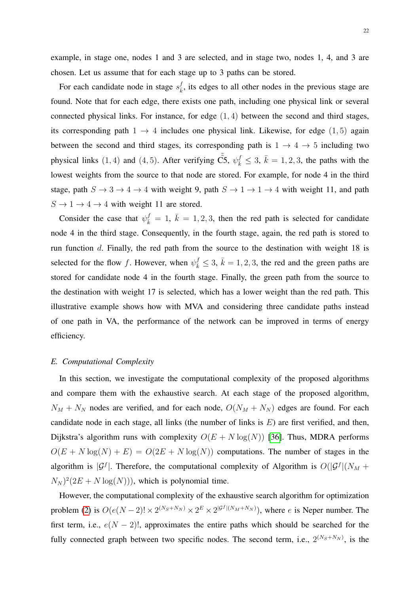example, in stage one, nodes 1 and 3 are selected, and in stage two, nodes 1, 4, and 3 are chosen. Let us assume that for each stage up to 3 paths can be stored.

For each candidate node in stage  $s_{\overline{k}}^f$ , its edges to all other nodes in the previous stage are found. Note that for each edge, there exists one path, including one physical link or several connected physical links. For instance, for edge  $(1, 4)$  between the second and third stages, its corresponding path  $1 \rightarrow 4$  includes one physical link. Likewise, for edge (1,5) again between the second and third stages, its corresponding path is  $1 \rightarrow 4 \rightarrow 5$  including two physical links (1, 4) and (4, 5). After verifying  $\tilde{C5}$ ,  $\psi_{\bar{k}}^f \leq 3$ ,  $\bar{k} = 1, 2, 3$ , the paths with the lowest weights from the source to that node are stored. For example, for node 4 in the third stage, path  $S \to 3 \to 4 \to 4$  with weight 9, path  $S \to 1 \to 1 \to 4$  with weight 11, and path  $S \rightarrow 1 \rightarrow 4 \rightarrow 4$  with weight 11 are stored.

Consider the case that  $\psi_{\bar{k}}^f = 1, \bar{k} = 1, 2, 3$ , then the red path is selected for candidate node 4 in the third stage. Consequently, in the fourth stage, again, the red path is stored to run function  $d$ . Finally, the red path from the source to the destination with weight 18 is selected for the flow f. However, when  $\psi_{\bar{k}}^f \leq 3$ ,  $\bar{k} = 1, 2, 3$ , the red and the green paths are stored for candidate node 4 in the fourth stage. Finally, the green path from the source to the destination with weight 17 is selected, which has a lower weight than the red path. This illustrative example shows how with MVA and considering three candidate paths instead of one path in VA, the performance of the network can be improved in terms of energy efficiency.

#### *E. Computational Complexity*

In this section, we investigate the computational complexity of the proposed algorithms and compare them with the exhaustive search. At each stage of the proposed algorithm,  $N_M + N_N$  nodes are verified, and for each node,  $O(N_M + N_N)$  edges are found. For each candidate node in each stage, all links (the number of links is  $E$ ) are first verified, and then, Dijkstra's algorithm runs with complexity  $O(E + N \log(N))$  [\[36\]](#page-30-15). Thus, MDRA performs  $O(E + N \log(N) + E) = O(2E + N \log(N))$  computations. The number of stages in the algorithm is  $|\mathcal{G}^f|$ . Therefore, the computational complexity of Algorithm is  $O(|\mathcal{G}^f|(N_M +$  $(N_N)^2(2E+N\log(N)))$ , which is polynomial time.

However, the computational complexity of the exhaustive search algorithm for optimization problem [\(2\)](#page-12-1) is  $O(e(N-2)! \times 2^{(N_s+N_N)} \times 2^E \times 2^{|\mathcal{G}^f|(N_M+N_N)})$ , where e is Neper number. The first term, i.e.,  $e(N-2)!$ , approximates the entire paths which should be searched for the fully connected graph between two specific nodes. The second term, i.e.,  $2^{(N_S+N_N)}$ , is the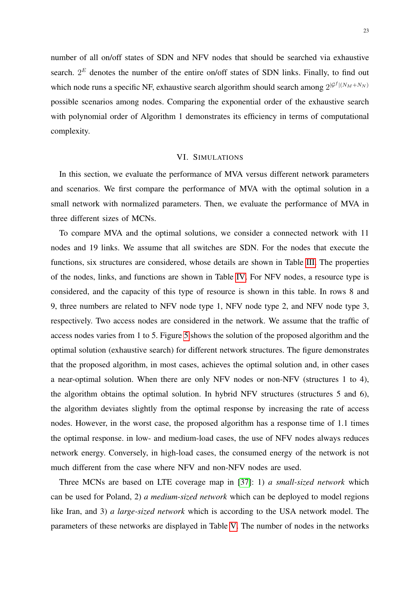number of all on/off states of SDN and NFV nodes that should be searched via exhaustive search.  $2^E$  denotes the number of the entire on/off states of SDN links. Finally, to find out which node runs a specific NF, exhaustive search algorithm should search among  $2^{|{\cal G}^f| (N_M + N_N)}$ possible scenarios among nodes. Comparing the exponential order of the exhaustive search with polynomial order of Algorithm 1 demonstrates its efficiency in terms of computational complexity.

# VI. SIMULATIONS

<span id="page-22-0"></span>In this section, we evaluate the performance of MVA versus different network parameters and scenarios. We first compare the performance of MVA with the optimal solution in a small network with normalized parameters. Then, we evaluate the performance of MVA in three different sizes of MCNs.

To compare MVA and the optimal solutions, we consider a connected network with 11 nodes and 19 links. We assume that all switches are SDN. For the nodes that execute the functions, six structures are considered, whose details are shown in Table [III.](#page-23-0) The properties of the nodes, links, and functions are shown in Table [IV.](#page-23-1) For NFV nodes, a resource type is considered, and the capacity of this type of resource is shown in this table. In rows 8 and 9, three numbers are related to NFV node type 1, NFV node type 2, and NFV node type 3, respectively. Two access nodes are considered in the network. We assume that the traffic of access nodes varies from 1 to 5. Figure [5](#page-23-2) shows the solution of the proposed algorithm and the optimal solution (exhaustive search) for different network structures. The figure demonstrates that the proposed algorithm, in most cases, achieves the optimal solution and, in other cases a near-optimal solution. When there are only NFV nodes or non-NFV (structures 1 to 4), the algorithm obtains the optimal solution. In hybrid NFV structures (structures 5 and 6), the algorithm deviates slightly from the optimal response by increasing the rate of access nodes. However, in the worst case, the proposed algorithm has a response time of 1.1 times the optimal response. in low- and medium-load cases, the use of NFV nodes always reduces network energy. Conversely, in high-load cases, the consumed energy of the network is not much different from the case where NFV and non-NFV nodes are used.

Three MCNs are based on LTE coverage map in [\[37\]](#page-30-16): 1) *a small-sized network* which can be used for Poland, 2) *a medium-sized network* which can be deployed to model regions like Iran, and 3) *a large-sized network* which is according to the USA network model. The parameters of these networks are displayed in Table [V.](#page-24-0) The number of nodes in the networks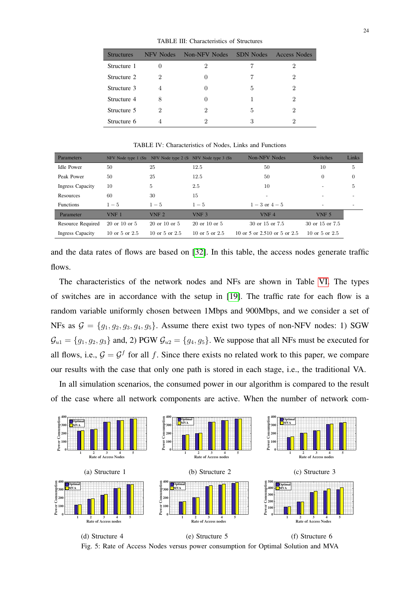TABLE III: Characteristics of Structures

<span id="page-23-0"></span>

| <b>Structures</b> | NFV Nodes | Non-NFV Nodes | <b>SDN</b> Nodes | Access Nodes |
|-------------------|-----------|---------------|------------------|--------------|
| Structure 1       |           | 2             |                  | 2            |
| Structure 2       | 2         |               |                  | 2            |
| Structure 3       | 4         | $\mathbf{0}$  | 5                | 2            |
| Structure 4       | 8         |               |                  | 2            |
| Structure 5       | 2         | 2             | 5                | 2            |
| Structure 6       |           | ٠,            | 3                | ٠,           |

TABLE IV: Characteristics of Nodes, Links and Functions

<span id="page-23-1"></span>

| Parameters              |                     | NFV Node type 1 (Sti NFV Node type 2 (S) NFV Node type 3 (Sti |                     | Non-NFV Nodes                | <b>Switches</b>          | Links    |
|-------------------------|---------------------|---------------------------------------------------------------|---------------------|------------------------------|--------------------------|----------|
| <b>Idle Power</b>       | 50                  | 25                                                            | 12.5                | 50                           | 10                       | 5        |
| Peak Power              | 50                  | 25                                                            | 12.5                | 50                           | 0                        | $\theta$ |
| <b>Ingress Capacity</b> | 10                  | 5                                                             | 2.5                 | 10                           | -                        | 5        |
| Resources               | 60                  | 30                                                            | 15                  | $\overline{\phantom{0}}$     |                          |          |
| <b>Functions</b>        | $1 - 5$             | $1 - 5$                                                       | $1 - 5$             | $1 - 3$ or $4 - 5$           | $\overline{\phantom{0}}$ |          |
| Parameter               | VNF <sub>1</sub>    | VNF <sub>2</sub>                                              | VNF <sub>3</sub>    | VNF <sub>4</sub>             | VNF <sub>5</sub>         |          |
| Resource Required       | $20$ or $10$ or $5$ | $20 \text{ or } 10 \text{ or } 5$                             | $20$ or $10$ or $5$ | 30 or 15 or 7.5              | 30 or 15 or 7.5          |          |
| <b>Ingress Capacity</b> | 10 or 5 or $2.5$    | 10 or 5 or $2.5$                                              | 10 or 5 or $2.5$    | 10 or 5 or 2.510 or 5 or 2.5 | 10 or 5 or $2.5$         |          |

and the data rates of flows are based on [\[32\]](#page-30-11). In this table, the access nodes generate traffic flows.

The characteristics of the network nodes and NFs are shown in Table [VI.](#page-24-1) The types of switches are in accordance with the setup in [\[19\]](#page-29-14). The traffic rate for each flow is a random variable uniformly chosen between 1Mbps and 900Mbps, and we consider a set of NFs as  $G = \{g_1, g_2, g_3, g_4, g_5\}$ . Assume there exist two types of non-NFV nodes: 1) SGW  $\mathcal{G}_{u1} = \{g_1, g_2, g_3\}$  and, 2) PGW  $\mathcal{G}_{u2} = \{g_4, g_5\}$ . We suppose that all NFs must be executed for all flows, i.e.,  $G = G^f$  for all f. Since there exists no related work to this paper, we compare our results with the case that only one path is stored in each stage, i.e., the traditional VA.

In all simulation scenarios, the consumed power in our algorithm is compared to the result of the case where all network components are active. When the number of network com-

<span id="page-23-2"></span>

(f) Structure 6 Fig. 5: Rate of Access Nodes versus power consumption for Optimal Solution and MVA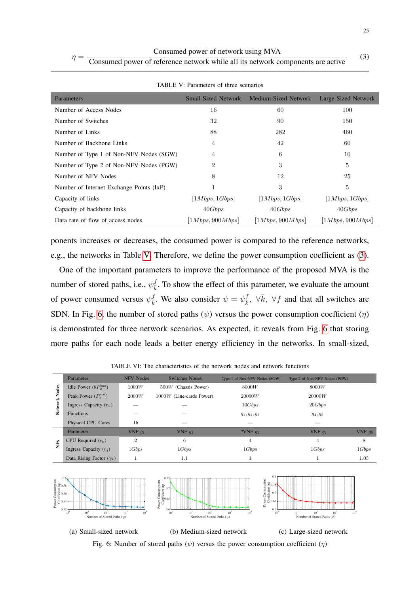<span id="page-24-2"></span>

| $n =$ | Consumed power of reference network while all its network components are active |
|-------|---------------------------------------------------------------------------------|

<span id="page-24-0"></span>

| Parameters                               |                  | Small-Sized Network Medium-Sized Network | Large-Sized Network |
|------------------------------------------|------------------|------------------------------------------|---------------------|
| Number of Access Nodes                   | 16               | 60                                       | 100                 |
| Number of Switches                       | 32               | 90                                       | 150                 |
| Number of Links                          | 88               | 282                                      | 460                 |
| Number of Backbone Links                 | 4                | 42                                       | 60                  |
| Number of Type 1 of Non-NFV Nodes (SGW)  | 4                | 6                                        | 10                  |
| Number of Type 2 of Non-NFV Nodes (PGW)  | 2                | 3                                        | 5                   |
| Number of NFV Nodes                      | 8                | 12                                       | 25                  |
| Number of Internet Exchange Points (IxP) |                  | 3                                        | 5                   |
| Capacity of links                        | [1Mbps, 1Gbps]   | [1Mbps, 1Gbps]                           | [1Mbps, 1Gbps]      |
| Capacity of backbone links               | 40Gbps           | 40Gbps                                   | 40Gbps              |
| Data rate of flow of access nodes        | [1Mbps, 900Mbps] | [1Mbps, 900Mbps]                         | [1Mbps, 900Mbps]    |

TABLE V: Parameters of three scenarios

ponents increases or decreases, the consumed power is compared to the reference networks, e.g., the networks in Table [V.](#page-24-0) Therefore, we define the power consumption coefficient as [\(3\)](#page-24-2).

One of the important parameters to improve the performance of the proposed MVA is the number of stored paths, i.e.,  $\psi_{\bar{k}}^f$ . To show the effect of this parameter, we evaluate the amount of power consumed versus  $\psi_{\bar{k}}^f$ . We also consider  $\psi = \psi_{\bar{k}}^f$ ,  $\forall \bar{k}$ ,  $\forall f$  and that all switches are SDN. In Fig. [6,](#page-24-3) the number of stored paths  $(\psi)$  versus the power consumption coefficient  $(\eta)$ is demonstrated for three network scenarios. As expected, it reveals from Fig. [6](#page-24-3) that storing more paths for each node leads a better energy efficiency in the networks. In small-sized,

<span id="page-24-1"></span>

|                 | <b>NFV Nodes</b><br>Parameter    |                | <b>Switches Nodes</b>      | Type 1 of Non-NFV Nodes (SGW) | Type 2 of Non-NFV Nodes (PGW) |           |
|-----------------|----------------------------------|----------------|----------------------------|-------------------------------|-------------------------------|-----------|
| <b>Nodes</b>    | Idle Power $(\theta P_u^{\max})$ | 1000W          | $500W$ (Chassis Power)     | 8000W                         | 8000W                         |           |
| Network         | Peak Power $(P_u^{\max})$        | 2000W          | $1000W$ (Line-cards Power) | 20000W                        | 20000W                        |           |
|                 | Ingress Capacity $(r_u)$         |                |                            | 10Gbps                        | 20Gbps                        |           |
|                 | <b>Functions</b>                 |                |                            | $g_1, g_2, g_3$               | $g_4, g_5$                    |           |
|                 | Physical CPU Cores               | 16             |                            |                               |                               |           |
|                 | Parameter                        | VNF $q_1$      | VNF $q_2$                  | ?VNF $q_3$                    | VNF $q_4$                     | VNF $q_5$ |
| NF <sub>S</sub> | CPU Required $(c_k)$             | $\overline{2}$ | 6                          | 4                             | 4                             | 8         |
|                 | Ingress Capacity $(r_i)$         | 1Gbps          | 1Gbps                      | 1Gbps                         | 1Gbps                         | 1Gbps     |
|                 | Data Rising Factor $(\gamma_k)$  |                | 1.1                        |                               |                               | 1.05      |
|                 |                                  |                |                            |                               |                               |           |

TABLE VI: The characteristics of the network nodes and network functions

<span id="page-24-3"></span>

(3)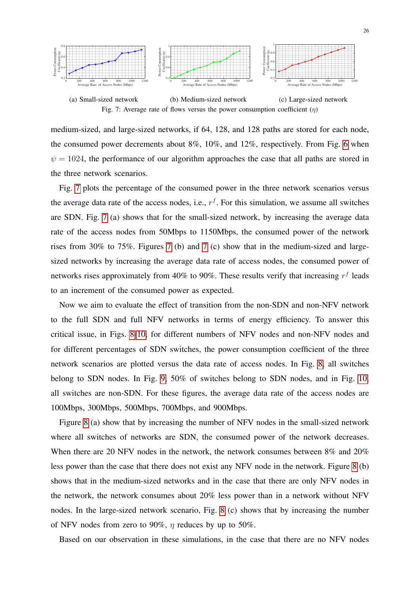<span id="page-25-0"></span>

Fig. 7: Average rate of flows versus the power consumption coefficient  $(\eta)$ 

medium-sized, and large-sized networks, if 64, 128, and 128 paths are stored for each node, the consumed power decrements about 8%, 10%, and 12%, respectively. From Fig. [6](#page-24-3) when  $\psi = 1024$ , the performance of our algorithm approaches the case that all paths are stored in the three network scenarios.

Fig. [7](#page-25-0) plots the percentage of the consumed power in the three network scenarios versus the average data rate of the access nodes, i.e.,  $r<sup>f</sup>$ . For this simulation, we assume all switches are SDN. Fig. [7](#page-25-0) (a) shows that for the small-sized network, by increasing the average data rate of the access nodes from 50Mbps to 1150Mbps, the consumed power of the network rises from 30% to 75%. Figures [7](#page-25-0) (b) and [7](#page-25-0) (c) show that in the medium-sized and largesized networks by increasing the average data rate of access nodes, the consumed power of networks rises approximately from 40% to 90%. These results verify that increasing  $r<sup>f</sup>$  leads to an increment of the consumed power as expected.

Now we aim to evaluate the effect of transition from the non-SDN and non-NFV network to the full SDN and full NFV networks in terms of energy efficiency. To answer this critical issue, in Figs. [8](#page-26-0)[-10,](#page-27-0) for different numbers of NFV nodes and non-NFV nodes and for different percentages of SDN switches, the power consumption coefficient of the three network scenarios are plotted versus the data rate of access nodes. In Fig. [8,](#page-26-0) all switches belong to SDN nodes. In Fig. [9,](#page-26-1) 50% of switches belong to SDN nodes, and in Fig. [10,](#page-27-0) all switches are non-SDN. For these figures, the average data rate of the access nodes are 100Mbps, 300Mbps, 500Mbps, 700Mbps, and 900Mbps.

Figure [8](#page-26-0) (a) show that by increasing the number of NFV nodes in the small-sized network where all switches of networks are SDN, the consumed power of the network decreases. When there are 20 NFV nodes in the network, the network consumes between 8% and 20% less power than the case that there does not exist any NFV node in the network. Figure [8](#page-26-0) (b) shows that in the medium-sized networks and in the case that there are only NFV nodes in the network, the network consumes about 20% less power than in a network without NFV nodes. In the large-sized network scenario, Fig. [8](#page-26-0) (c) shows that by increasing the number of NFV nodes from zero to 90%,  $\eta$  reduces by up to 50%.

Based on our observation in these simulations, in the case that there are no NFV nodes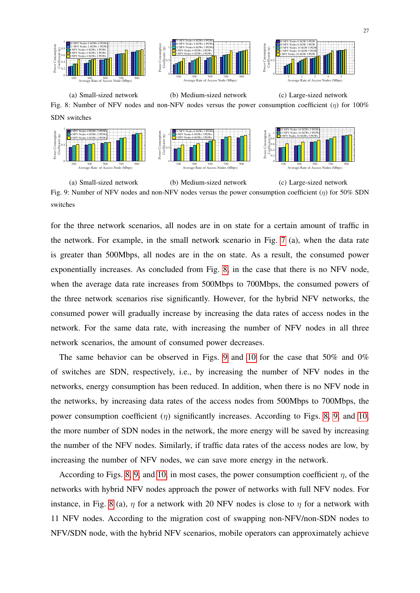<span id="page-26-0"></span>

(a) Small-sized network (b) Medium-sized network (c) Large-sized network Fig. 8: Number of NFV nodes and non-NFV nodes versus the power consumption coefficient  $(n)$  for 100% SDN switches

<span id="page-26-1"></span>

(a) Small-sized network (b) Medium-sized network (c) Large-sized network Fig. 9: Number of NFV nodes and non-NFV nodes versus the power consumption coefficient  $(\eta)$  for 50% SDN switches

for the three network scenarios, all nodes are in on state for a certain amount of traffic in the network. For example, in the small network scenario in Fig. [7](#page-25-0) (a), when the data rate is greater than 500Mbps, all nodes are in the on state. As a result, the consumed power exponentially increases. As concluded from Fig. [8,](#page-26-0) in the case that there is no NFV node, when the average data rate increases from 500Mbps to 700Mbps, the consumed powers of the three network scenarios rise significantly. However, for the hybrid NFV networks, the consumed power will gradually increase by increasing the data rates of access nodes in the network. For the same data rate, with increasing the number of NFV nodes in all three network scenarios, the amount of consumed power decreases.

The same behavior can be observed in Figs. [9](#page-26-1) and [10](#page-27-0) for the case that 50% and 0% of switches are SDN, respectively, i.e., by increasing the number of NFV nodes in the networks, energy consumption has been reduced. In addition, when there is no NFV node in the networks, by increasing data rates of the access nodes from 500Mbps to 700Mbps, the power consumption coefficient  $(\eta)$  significantly increases. According to Figs. [8,](#page-26-0) [9,](#page-26-1) and [10,](#page-27-0) the more number of SDN nodes in the network, the more energy will be saved by increasing the number of the NFV nodes. Similarly, if traffic data rates of the access nodes are low, by increasing the number of NFV nodes, we can save more energy in the network.

According to Figs. [8,](#page-26-0) [9,](#page-26-1) and [10,](#page-27-0) in most cases, the power consumption coefficient  $\eta$ , of the networks with hybrid NFV nodes approach the power of networks with full NFV nodes. For instance, in Fig. [8](#page-26-0) (a),  $\eta$  for a network with 20 NFV nodes is close to  $\eta$  for a network with 11 NFV nodes. According to the migration cost of swapping non-NFV/non-SDN nodes to NFV/SDN node, with the hybrid NFV scenarios, mobile operators can approximately achieve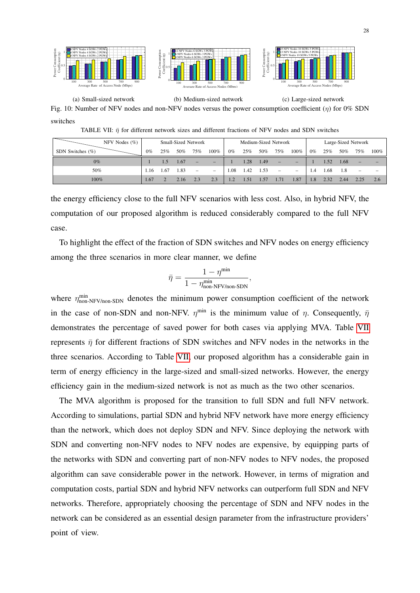(c) Large-sized network

<span id="page-27-0"></span>

(b) Medium-sized network

(a) Small-sized network

<span id="page-27-1"></span>Fig. 10: Number of NFV nodes and non-NFV nodes versus the power consumption coefficient  $(\eta)$  for 0% SDN switches

TABLE VII:  $\bar{\eta}$  for different network sizes and different fractions of NFV nodes and SDN switches

| NFV Nodes $(\%)$    |       |     |      | Small-Sized Network      |                          |       |      |      | Medium-Sized Network     |                              |       |      |      | Large-Sized Network      |         |
|---------------------|-------|-----|------|--------------------------|--------------------------|-------|------|------|--------------------------|------------------------------|-------|------|------|--------------------------|---------|
| SDN Switches $(\%)$ | $0\%$ | 25% | 50%  | 75%                      | 100%                     | $0\%$ | 25%  | 50%  | 75%                      | 100%                         | $0\%$ | 25%  | 50%  | 75%                      | $100\%$ |
| $0\%$               |       | 1.5 | 1.67 | −                        | $\equiv$                 |       | 1.28 | 1.49 | $\overline{\phantom{0}}$ |                              |       | 1.52 | 1.68 | $\overline{\phantom{0}}$ |         |
| 50%                 |       | .67 | 1.83 | $\overline{\phantom{a}}$ | $\overline{\phantom{m}}$ | .08   | 1.42 | 1.53 | $\qquad \qquad -$        | $\qquad \qquad \blacksquare$ | 1.4   | .68  | 1.8  |                          |         |
| 100%                |       |     | 2.16 | 2.3                      | 2.3                      | 1.2   | 1.51 | 1.57 | 1.71                     | 1.87                         | 1.8   | 2.32 | 0.44 |                          | 2.6     |

the energy efficiency close to the full NFV scenarios with less cost. Also, in hybrid NFV, the computation of our proposed algorithm is reduced considerably compared to the full NFV case.

To highlight the effect of the fraction of SDN switches and NFV nodes on energy efficiency among the three scenarios in more clear manner, we define

$$
\bar{\eta} = \frac{1 - \eta^{\min}}{1 - \eta^{\min}_{\text{non-NFV}/\text{non-SDN}}},
$$

where  $\eta_{\text{non-NFV}/\text{non-SDN}}^{\text{min}}$  denotes the minimum power consumption coefficient of the network in the case of non-SDN and non-NFV.  $\eta^{\min}$  is the minimum value of  $\eta$ . Consequently,  $\bar{\eta}$ demonstrates the percentage of saved power for both cases via applying MVA. Table [VII](#page-27-1) represents  $\bar{\eta}$  for different fractions of SDN switches and NFV nodes in the networks in the three scenarios. According to Table [VII,](#page-27-1) our proposed algorithm has a considerable gain in term of energy efficiency in the large-sized and small-sized networks. However, the energy efficiency gain in the medium-sized network is not as much as the two other scenarios.

The MVA algorithm is proposed for the transition to full SDN and full NFV network. According to simulations, partial SDN and hybrid NFV network have more energy efficiency than the network, which does not deploy SDN and NFV. Since deploying the network with SDN and converting non-NFV nodes to NFV nodes are expensive, by equipping parts of the networks with SDN and converting part of non-NFV nodes to NFV nodes, the proposed algorithm can save considerable power in the network. However, in terms of migration and computation costs, partial SDN and hybrid NFV networks can outperform full SDN and NFV networks. Therefore, appropriately choosing the percentage of SDN and NFV nodes in the network can be considered as an essential design parameter from the infrastructure providers' point of view.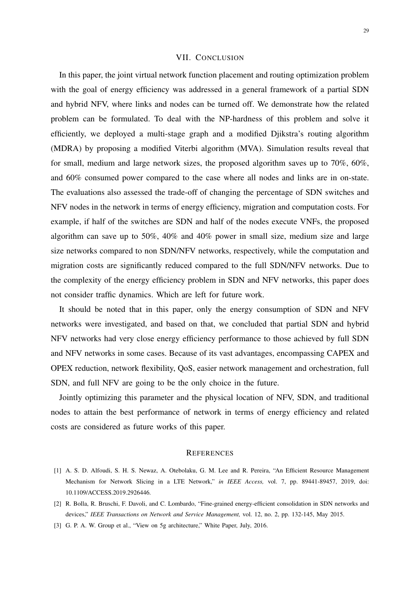# VII. CONCLUSION

<span id="page-28-3"></span>In this paper, the joint virtual network function placement and routing optimization problem with the goal of energy efficiency was addressed in a general framework of a partial SDN and hybrid NFV, where links and nodes can be turned off. We demonstrate how the related problem can be formulated. To deal with the NP-hardness of this problem and solve it efficiently, we deployed a multi-stage graph and a modified Djikstra's routing algorithm (MDRA) by proposing a modified Viterbi algorithm (MVA). Simulation results reveal that for small, medium and large network sizes, the proposed algorithm saves up to 70%, 60%, and 60% consumed power compared to the case where all nodes and links are in on-state. The evaluations also assessed the trade-off of changing the percentage of SDN switches and NFV nodes in the network in terms of energy efficiency, migration and computation costs. For example, if half of the switches are SDN and half of the nodes execute VNFs, the proposed algorithm can save up to 50%, 40% and 40% power in small size, medium size and large size networks compared to non SDN/NFV networks, respectively, while the computation and migration costs are significantly reduced compared to the full SDN/NFV networks. Due to the complexity of the energy efficiency problem in SDN and NFV networks, this paper does not consider traffic dynamics. Which are left for future work.

It should be noted that in this paper, only the energy consumption of SDN and NFV networks were investigated, and based on that, we concluded that partial SDN and hybrid NFV networks had very close energy efficiency performance to those achieved by full SDN and NFV networks in some cases. Because of its vast advantages, encompassing CAPEX and OPEX reduction, network flexibility, QoS, easier network management and orchestration, full SDN, and full NFV are going to be the only choice in the future.

Jointly optimizing this parameter and the physical location of NFV, SDN, and traditional nodes to attain the best performance of network in terms of energy efficiency and related costs are considered as future works of this paper.

#### **REFERENCES**

- <span id="page-28-0"></span>[1] A. S. D. Alfoudi, S. H. S. Newaz, A. Otebolaku, G. M. Lee and R. Pereira, "An Efficient Resource Management Mechanism for Network Slicing in a LTE Network," *in IEEE Access,* vol. 7, pp. 89441-89457, 2019, doi: 10.1109/ACCESS.2019.2926446.
- <span id="page-28-1"></span>[2] R. Bolla, R. Bruschi, F. Davoli, and C. Lombardo, "Fine-grained energy-efficient consolidation in SDN networks and devices," *IEEE Transactions on Network and Service Management,* vol. 12, no. 2, pp. 132-145, May 2015.
- <span id="page-28-2"></span>[3] G. P. A. W. Group et al., "View on 5g architecture," White Paper, July, 2016.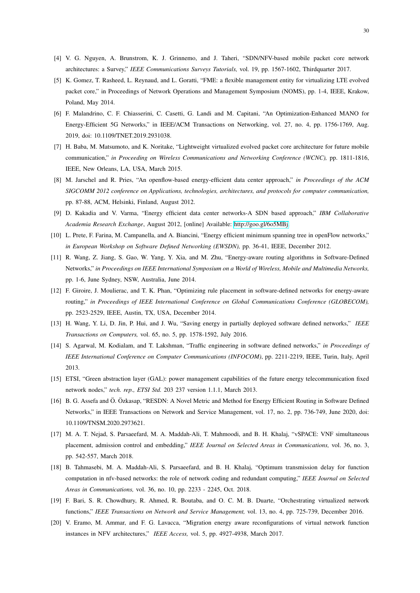- <span id="page-29-0"></span>[4] V. G. Nguyen, A. Brunstrom, K. J. Grinnemo, and J. Taheri, "SDN/NFV-based mobile packet core network architectures: a Survey," *IEEE Communications Surveys Tutorials,* vol. 19, pp. 1567-1602, Thirdquarter 2017.
- <span id="page-29-1"></span>[5] K. Gomez, T. Rasheed, L. Reynaud, and L. Goratti, "FME: a flexible management entity for virtualizing LTE evolved packet core," in Proceedings of Network Operations and Management Symposium (NOMS), pp. 1-4, IEEE, Krakow, Poland, May 2014.
- <span id="page-29-2"></span>[6] F. Malandrino, C. F. Chiasserini, C. Casetti, G. Landi and M. Capitani, "An Optimization-Enhanced MANO for Energy-Efficient 5G Networks," in IEEE/ACM Transactions on Networking, vol. 27, no. 4, pp. 1756-1769, Aug. 2019, doi: 10.1109/TNET.2019.2931038.
- <span id="page-29-3"></span>[7] H. Baba, M. Matsumoto, and K. Noritake, "Lightweight virtualized evolved packet core architecture for future mobile communication," *in Proceeding on Wireless Communications and Networking Conference (WCNC),* pp. 1811-1816, IEEE, New Orleans, LA, USA, March 2015.
- <span id="page-29-4"></span>[8] M. Jarschel and R. Pries, "An openflow-based energy-efficient data center approach," *in Proceedings of the ACM SIGCOMM 2012 conference on Applications, technologies, architectures, and protocols for computer communication,* pp. 87-88, ACM, Helsinki, Finland, August 2012.
- <span id="page-29-5"></span>[9] D. Kakadia and V. Varma, "Energy efficient data center networks-A SDN based approach," *IBM Collaborative Academia Research Exchange*, August 2012, [online] Available: [http://goo.gl/6o5MBj.](http://goo.gl/6o5MBj)
- <span id="page-29-6"></span>[10] L. Prete, F. Farina, M. Campanella, and A. Biancini, "Energy efficient minimum spanning tree in openFlow networks," *in European Workshop on Software Defined Networking (EWSDN),* pp. 36-41, IEEE, December 2012.
- <span id="page-29-7"></span>[11] R. Wang, Z. Jiang, S. Gao, W. Yang, Y. Xia, and M. Zhu, "Energy-aware routing algorithms in Software-Defined Networks," *in Proceedings on IEEE International Symposium on a World of Wireless, Mobile and Multimedia Networks,* pp. 1-6, June Sydney, NSW, Australia, June 2014.
- <span id="page-29-8"></span>[12] F. Giroire, J. Moulierac, and T. K. Phan, "Optimizing rule placement in software-defined networks for energy-aware routing," *in Proceedings of IEEE International Conference on Global Communications Conference (GLOBECOM),* pp. 2523-2529, IEEE, Austin, TX, USA, December 2014.
- <span id="page-29-9"></span>[13] H. Wang, Y. Li, D. Jin, P. Hui, and J. Wu, "Saving energy in partially deployed software defined networks," *IEEE Transactions on Computers,* vol. 65, no. 5, pp. 1578-1592, July 2016.
- <span id="page-29-16"></span>[14] S. Agarwal, M. Kodialam, and T. Lakshman, "Traffic engineering in software defined networks," *in Proceedings of IEEE International Conference on Computer Communications (INFOCOM)*, pp. 2211-2219, IEEE, Turin, Italy, April 2013.
- <span id="page-29-10"></span>[15] ETSI, "Green abstraction layer (GAL): power management capabilities of the future energy telecommunication fixed network nodes," *tech. rep., ETSI Std.* 203 237 version 1.1.1, March 2013.
- <span id="page-29-11"></span>[16] B. G. Assefa and Ö. Özkasap, "RESDN: A Novel Metric and Method for Energy Efficient Routing in Software Defined Networks," in IEEE Transactions on Network and Service Management, vol. 17, no. 2, pp. 736-749, June 2020, doi: 10.1109/TNSM.2020.2973621.
- <span id="page-29-12"></span>[17] M. A. T. Nejad, S. Parsaeefard, M. A. Maddah-Ali, T. Mahmoodi, and B. H. Khalaj, "vSPACE: VNF simultaneous placement, admission control and embedding," *IEEE Journal on Selected Areas in Communications,* vol. 36, no. 3, pp. 542-557, March 2018.
- <span id="page-29-13"></span>[18] B. Tahmasebi, M. A. Maddah-Ali, S. Parsaeefard, and B. H. Khalaj, "Optimum transmission delay for function computation in nfv-based networks: the role of network coding and redundant computing," *IEEE Journal on Selected Areas in Communications,* vol. 36, no. 10, pp. 2233 - 2245, Oct. 2018.
- <span id="page-29-14"></span>[19] F. Bari, S. R. Chowdhury, R. Ahmed, R. Boutaba, and O. C. M. B. Duarte, "Orchestrating virtualized network functions," *IEEE Transactions on Network and Service Management,* vol. 13, no. 4, pp. 725-739, December 2016.
- <span id="page-29-15"></span>[20] V. Eramo, M. Ammar, and F. G. Lavacca, "Migration energy aware reconfigurations of virtual network function instances in NFV architectures," *IEEE Access,* vol. 5, pp. 4927-4938, March 2017.